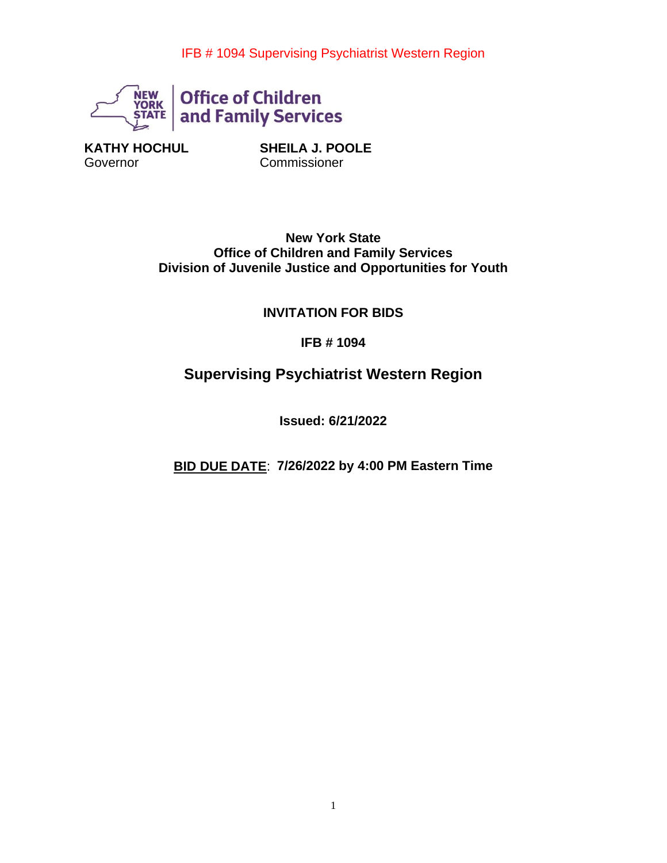

**KATHY HOCHUL Governor** 

**SHEILA J. POOLE Commissioner** 

**New York State Office of Children and Family Services Division of Juvenile Justice and Opportunities for Youth**

## **INVITATION FOR BIDS**

**IFB # 1094**

# **Supervising Psychiatrist Western Region**

**Issued: 6/21/2022**

**BID DUE DATE**: **7/26/2022 by 4:00 PM Eastern Time**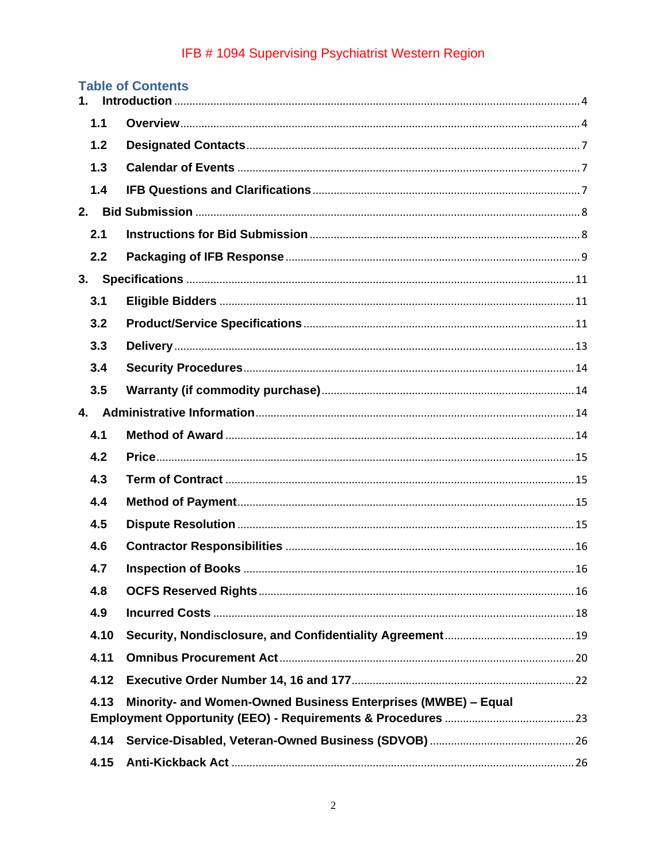| $1_{-}$                                                               | <b>Table of Contents</b>   |     |
|-----------------------------------------------------------------------|----------------------------|-----|
| 1.1                                                                   |                            |     |
| 1.2                                                                   |                            |     |
| 1.3                                                                   |                            |     |
| 1.4                                                                   |                            |     |
| 2.                                                                    |                            |     |
| 2.1                                                                   |                            |     |
| 2.2                                                                   |                            |     |
|                                                                       |                            |     |
| 3.1                                                                   |                            |     |
| 3.2                                                                   |                            |     |
| 3.3                                                                   |                            |     |
| 3.4                                                                   |                            |     |
| 3.5                                                                   |                            |     |
|                                                                       |                            |     |
| 4.1                                                                   |                            |     |
| 4.2                                                                   |                            |     |
| 4.3                                                                   |                            |     |
| 4.4                                                                   |                            |     |
| 4.5                                                                   |                            |     |
| 4.6                                                                   |                            |     |
| 4.7                                                                   | <b>Inspection of Books</b> | .16 |
| 4.8                                                                   |                            |     |
| 4.9                                                                   |                            |     |
| 4.10                                                                  |                            |     |
| 4.11                                                                  |                            |     |
| 4.12                                                                  |                            |     |
| Minority- and Women-Owned Business Enterprises (MWBE) - Equal<br>4.13 |                            |     |
|                                                                       |                            |     |
| 4.14                                                                  |                            |     |
| 4.15                                                                  |                            |     |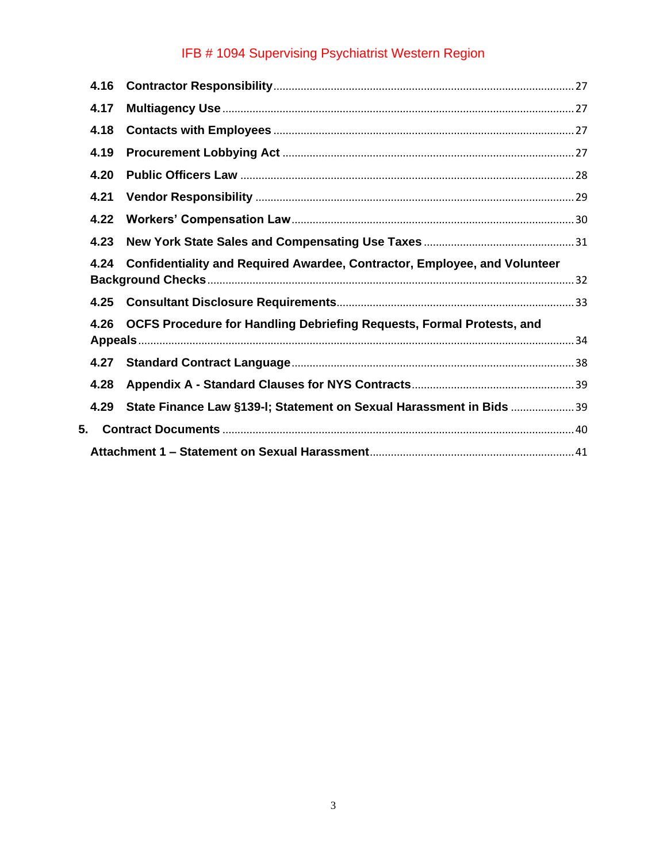|    | 4.16                                                                                 |                                                                           |  |  |
|----|--------------------------------------------------------------------------------------|---------------------------------------------------------------------------|--|--|
|    | 4.17                                                                                 |                                                                           |  |  |
|    | 4.18                                                                                 |                                                                           |  |  |
|    | 4.19                                                                                 |                                                                           |  |  |
|    | 4.20                                                                                 |                                                                           |  |  |
|    | 4.21                                                                                 |                                                                           |  |  |
|    | 4.22                                                                                 |                                                                           |  |  |
|    | 4.23                                                                                 |                                                                           |  |  |
|    | 4.24                                                                                 | Confidentiality and Required Awardee, Contractor, Employee, and Volunteer |  |  |
|    | 4.25                                                                                 |                                                                           |  |  |
|    | <b>OCFS Procedure for Handling Debriefing Requests, Formal Protests, and</b><br>4.26 |                                                                           |  |  |
|    | 4.27                                                                                 |                                                                           |  |  |
|    | 4.28                                                                                 |                                                                           |  |  |
|    | 4.29                                                                                 | State Finance Law §139-I; Statement on Sexual Harassment in Bids 39       |  |  |
| 5. |                                                                                      |                                                                           |  |  |
|    |                                                                                      |                                                                           |  |  |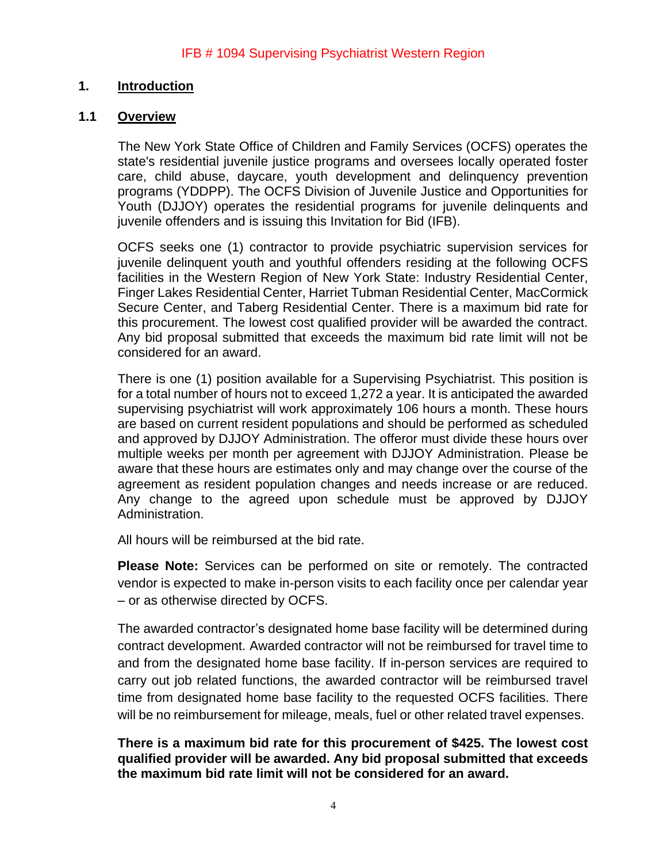#### <span id="page-3-0"></span>**1. Introduction**

#### <span id="page-3-1"></span>**1.1 Overview**

The New York State Office of Children and Family Services (OCFS) operates the state's residential juvenile justice programs and oversees locally operated foster care, child abuse, daycare, youth development and delinquency prevention programs (YDDPP). The OCFS Division of Juvenile Justice and Opportunities for Youth (DJJOY) operates the residential programs for juvenile delinquents and juvenile offenders and is issuing this Invitation for Bid (IFB).

OCFS seeks one (1) contractor to provide psychiatric supervision services for juvenile delinquent youth and youthful offenders residing at the following OCFS facilities in the Western Region of New York State: Industry Residential Center, Finger Lakes Residential Center, Harriet Tubman Residential Center, MacCormick Secure Center, and Taberg Residential Center. There is a maximum bid rate for this procurement. The lowest cost qualified provider will be awarded the contract. Any bid proposal submitted that exceeds the maximum bid rate limit will not be considered for an award.

There is one (1) position available for a Supervising Psychiatrist. This position is for a total number of hours not to exceed 1,272 a year. It is anticipated the awarded supervising psychiatrist will work approximately 106 hours a month. These hours are based on current resident populations and should be performed as scheduled and approved by DJJOY Administration. The offeror must divide these hours over multiple weeks per month per agreement with DJJOY Administration. Please be aware that these hours are estimates only and may change over the course of the agreement as resident population changes and needs increase or are reduced. Any change to the agreed upon schedule must be approved by DJJOY Administration.

All hours will be reimbursed at the bid rate.

**Please Note:** Services can be performed on site or remotely. The contracted vendor is expected to make in-person visits to each facility once per calendar year – or as otherwise directed by OCFS.

The awarded contractor's designated home base facility will be determined during contract development. Awarded contractor will not be reimbursed for travel time to and from the designated home base facility. If in-person services are required to carry out job related functions, the awarded contractor will be reimbursed travel time from designated home base facility to the requested OCFS facilities. There will be no reimbursement for mileage, meals, fuel or other related travel expenses.

**There is a maximum bid rate for this procurement of \$425. The lowest cost qualified provider will be awarded. Any bid proposal submitted that exceeds the maximum bid rate limit will not be considered for an award.**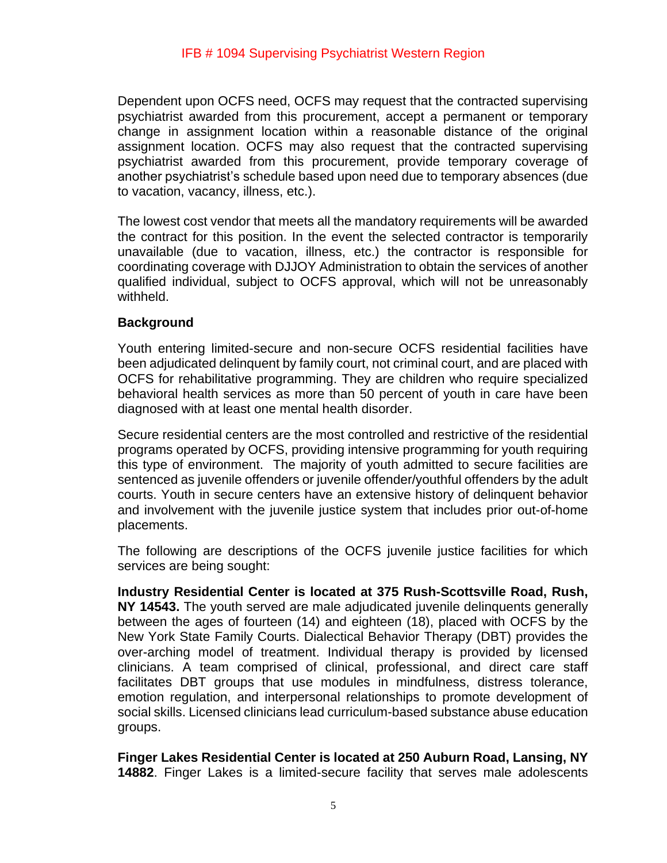Dependent upon OCFS need, OCFS may request that the contracted supervising psychiatrist awarded from this procurement, accept a permanent or temporary change in assignment location within a reasonable distance of the original assignment location. OCFS may also request that the contracted supervising psychiatrist awarded from this procurement, provide temporary coverage of another psychiatrist's schedule based upon need due to temporary absences (due to vacation, vacancy, illness, etc.).

The lowest cost vendor that meets all the mandatory requirements will be awarded the contract for this position. In the event the selected contractor is temporarily unavailable (due to vacation, illness, etc.) the contractor is responsible for coordinating coverage with DJJOY Administration to obtain the services of another qualified individual, subject to OCFS approval, which will not be unreasonably withheld.

## **Background**

Youth entering limited-secure and non-secure OCFS residential facilities have been adjudicated delinquent by family court, not criminal court, and are placed with OCFS for rehabilitative programming. They are children who require specialized behavioral health services as more than 50 percent of youth in care have been diagnosed with at least one mental health disorder.

Secure residential centers are the most controlled and restrictive of the residential programs operated by OCFS, providing intensive programming for youth requiring this type of environment. The majority of youth admitted to secure facilities are sentenced as juvenile offenders or juvenile offender/youthful offenders by the adult courts. Youth in secure centers have an extensive history of delinquent behavior and involvement with the juvenile justice system that includes prior out-of-home placements.

The following are descriptions of the OCFS juvenile justice facilities for which services are being sought:

**Industry Residential Center is located at 375 Rush-Scottsville Road, Rush, NY 14543.** The youth served are male adjudicated juvenile delinquents generally between the ages of fourteen (14) and eighteen (18), placed with OCFS by the New York State Family Courts. Dialectical Behavior Therapy (DBT) provides the over-arching model of treatment. Individual therapy is provided by licensed clinicians. A team comprised of clinical, professional, and direct care staff facilitates DBT groups that use modules in mindfulness, distress tolerance, emotion regulation, and interpersonal relationships to promote development of social skills. Licensed clinicians lead curriculum-based substance abuse education groups.

**Finger Lakes Residential Center is located at 250 Auburn Road, Lansing, NY 14882**. Finger Lakes is a limited-secure facility that serves male adolescents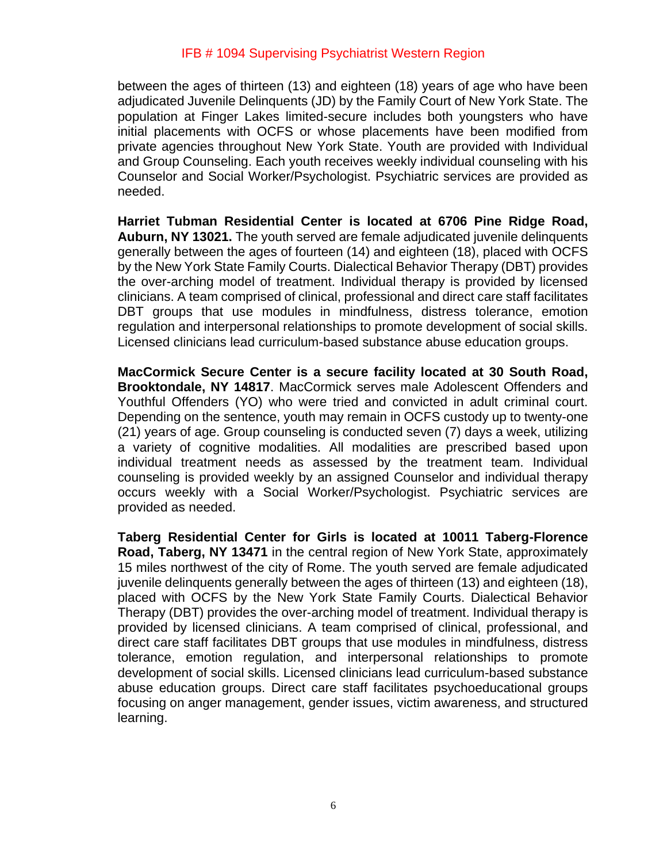between the ages of thirteen (13) and eighteen (18) years of age who have been adjudicated Juvenile Delinquents (JD) by the Family Court of New York State. The population at Finger Lakes limited-secure includes both youngsters who have initial placements with OCFS or whose placements have been modified from private agencies throughout New York State. Youth are provided with Individual and Group Counseling. Each youth receives weekly individual counseling with his Counselor and Social Worker/Psychologist. Psychiatric services are provided as needed.

**Harriet Tubman Residential Center is located at 6706 Pine Ridge Road, Auburn, NY 13021.** The youth served are female adjudicated juvenile delinquents generally between the ages of fourteen (14) and eighteen (18), placed with OCFS by the New York State Family Courts. Dialectical Behavior Therapy (DBT) provides the over-arching model of treatment. Individual therapy is provided by licensed clinicians. A team comprised of clinical, professional and direct care staff facilitates DBT groups that use modules in mindfulness, distress tolerance, emotion regulation and interpersonal relationships to promote development of social skills. Licensed clinicians lead curriculum-based substance abuse education groups.

**MacCormick Secure Center is a secure facility located at 30 South Road, Brooktondale, NY 14817**. MacCormick serves male Adolescent Offenders and Youthful Offenders (YO) who were tried and convicted in adult criminal court. Depending on the sentence, youth may remain in OCFS custody up to twenty-one (21) years of age. Group counseling is conducted seven (7) days a week, utilizing a variety of cognitive modalities. All modalities are prescribed based upon individual treatment needs as assessed by the treatment team. Individual counseling is provided weekly by an assigned Counselor and individual therapy occurs weekly with a Social Worker/Psychologist. Psychiatric services are provided as needed.

**Taberg Residential Center for Girls is located at 10011 Taberg-Florence Road, Taberg, NY 13471** in the central region of New York State, approximately 15 miles northwest of the city of Rome. The youth served are female adjudicated juvenile delinquents generally between the ages of thirteen (13) and eighteen (18), placed with OCFS by the New York State Family Courts. Dialectical Behavior Therapy (DBT) provides the over-arching model of treatment. Individual therapy is provided by licensed clinicians. A team comprised of clinical, professional, and direct care staff facilitates DBT groups that use modules in mindfulness, distress tolerance, emotion regulation, and interpersonal relationships to promote development of social skills. Licensed clinicians lead curriculum-based substance abuse education groups. Direct care staff facilitates psychoeducational groups focusing on anger management, gender issues, victim awareness, and structured learning.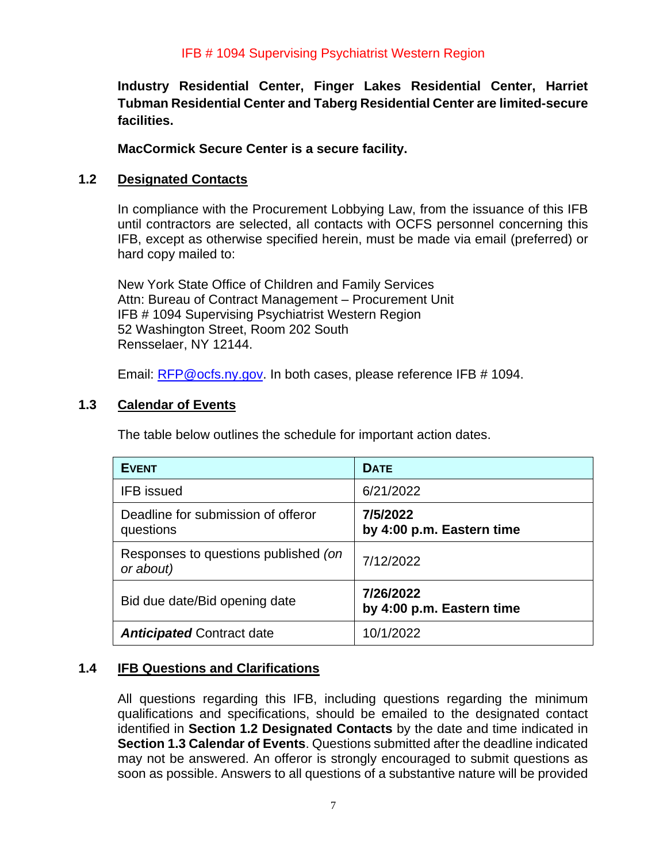**Industry Residential Center, Finger Lakes Residential Center, Harriet Tubman Residential Center and Taberg Residential Center are limited-secure facilities.**

**MacCormick Secure Center is a secure facility.** 

# <span id="page-6-0"></span>**1.2 Designated Contacts**

In compliance with the Procurement Lobbying Law, from the issuance of this IFB until contractors are selected, all contacts with OCFS personnel concerning this IFB, except as otherwise specified herein, must be made via email (preferred) or hard copy mailed to:

New York State Office of Children and Family Services Attn: Bureau of Contract Management – Procurement Unit IFB # 1094 Supervising Psychiatrist Western Region 52 Washington Street, Room 202 South Rensselaer, NY 12144.

Email: [RFP@ocfs.ny.gov.](mailto:rfp@ocfs.ny.gov) In both cases, please reference IFB # 1094.

# <span id="page-6-1"></span>**1.3 Calendar of Events**

The table below outlines the schedule for important action dates.

| <b>EVENT</b>                                      | <b>DATE</b>                            |
|---------------------------------------------------|----------------------------------------|
| <b>IFB</b> issued                                 | 6/21/2022                              |
| Deadline for submission of offeror<br>questions   | 7/5/2022<br>by 4:00 p.m. Eastern time  |
| Responses to questions published (on<br>or about) | 7/12/2022                              |
| Bid due date/Bid opening date                     | 7/26/2022<br>by 4:00 p.m. Eastern time |
| <b>Anticipated Contract date</b>                  | 10/1/2022                              |

# <span id="page-6-2"></span>**1.4 IFB Questions and Clarifications**

All questions regarding this IFB, including questions regarding the minimum qualifications and specifications, should be emailed to the designated contact identified in **Section 1.2 Designated Contacts** by the date and time indicated in **Section 1.3 Calendar of Events**. Questions submitted after the deadline indicated may not be answered. An offeror is strongly encouraged to submit questions as soon as possible. Answers to all questions of a substantive nature will be provided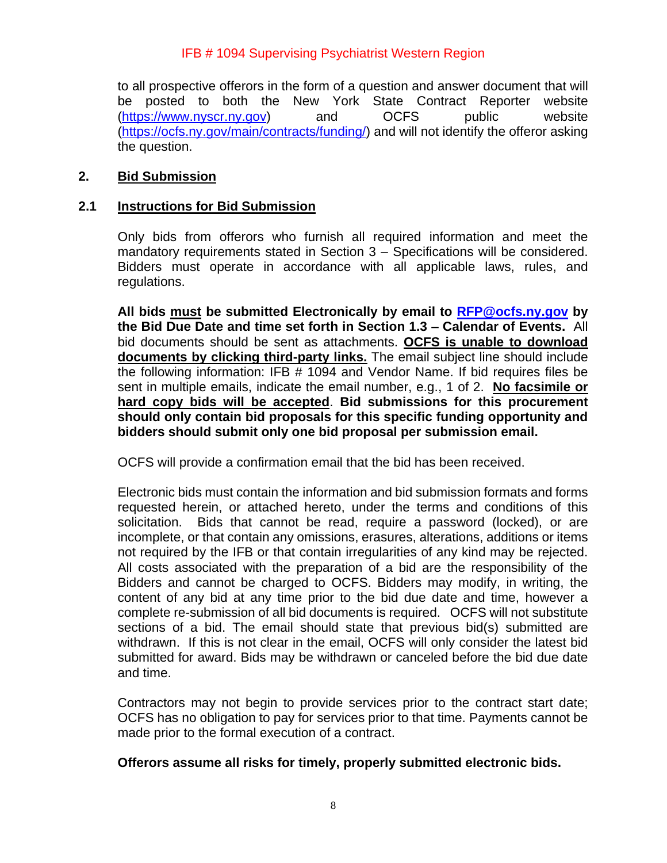to all prospective offerors in the form of a question and answer document that will be posted to both the New York State Contract Reporter website [\(https://www.nyscr.ny.gov\)](https://www.nyscr.ny.gov/) and OCFS public website [\(https://ocfs.ny.gov/main/contracts/funding/\)](https://ocfs.ny.gov/main/contracts/funding/) and will not identify the offeror asking the question.

#### <span id="page-7-0"></span>**2. Bid Submission**

#### <span id="page-7-1"></span>**2.1 Instructions for Bid Submission**

Only bids from offerors who furnish all required information and meet the mandatory requirements stated in Section 3 – Specifications will be considered. Bidders must operate in accordance with all applicable laws, rules, and regulations.

**All bids must be submitted Electronically by email to [RFP@ocfs.ny.gov](mailto:RFP@ocfs.ny.gov) by the Bid Due Date and time set forth in Section 1.3 – Calendar of Events.** All bid documents should be sent as attachments. **OCFS is unable to download documents by clicking third-party links.** The email subject line should include the following information: IFB # 1094 and Vendor Name. If bid requires files be sent in multiple emails, indicate the email number, e.g., 1 of 2. **No facsimile or hard copy bids will be accepted**. **Bid submissions for this procurement should only contain bid proposals for this specific funding opportunity and bidders should submit only one bid proposal per submission email.** 

OCFS will provide a confirmation email that the bid has been received.

Electronic bids must contain the information and bid submission formats and forms requested herein, or attached hereto, under the terms and conditions of this solicitation. Bids that cannot be read, require a password (locked), or are incomplete, or that contain any omissions, erasures, alterations, additions or items not required by the IFB or that contain irregularities of any kind may be rejected. All costs associated with the preparation of a bid are the responsibility of the Bidders and cannot be charged to OCFS. Bidders may modify, in writing, the content of any bid at any time prior to the bid due date and time, however a complete re-submission of all bid documents is required. OCFS will not substitute sections of a bid. The email should state that previous bid(s) submitted are withdrawn. If this is not clear in the email, OCFS will only consider the latest bid submitted for award. Bids may be withdrawn or canceled before the bid due date and time.

Contractors may not begin to provide services prior to the contract start date; OCFS has no obligation to pay for services prior to that time. Payments cannot be made prior to the formal execution of a contract.

#### **Offerors assume all risks for timely, properly submitted electronic bids.**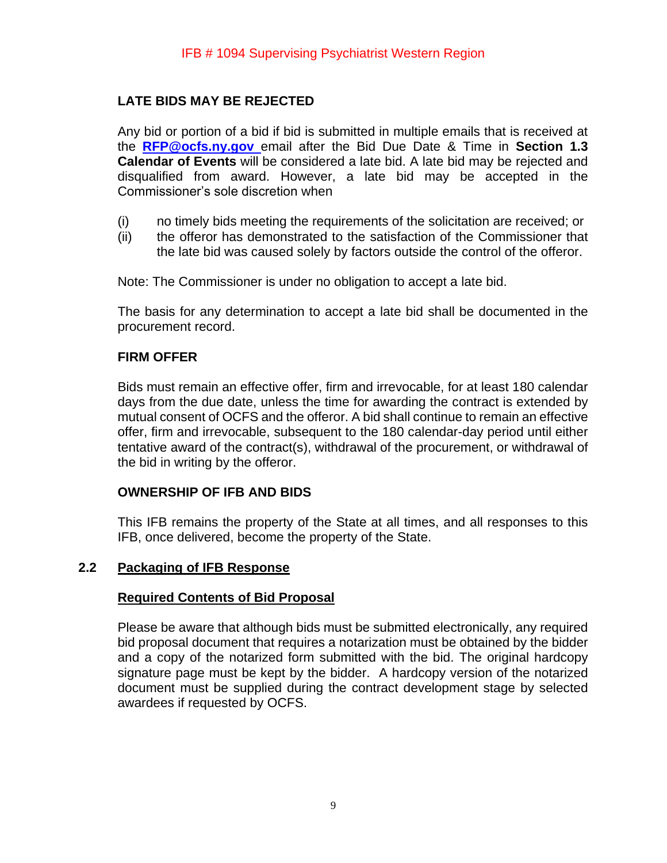# **LATE BIDS MAY BE REJECTED**

Any bid or portion of a bid if bid is submitted in multiple emails that is received at the **[RFP@ocfs.ny.gov](mailto:RFP@ocfs.ny.gov)** email after the Bid Due Date & Time in **Section 1.3 Calendar of Events** will be considered a late bid. A late bid may be rejected and disqualified from award. However, a late bid may be accepted in the Commissioner's sole discretion when

- (i) no timely bids meeting the requirements of the solicitation are received; or
- (ii) the offeror has demonstrated to the satisfaction of the Commissioner that the late bid was caused solely by factors outside the control of the offeror.

Note: The Commissioner is under no obligation to accept a late bid.

The basis for any determination to accept a late bid shall be documented in the procurement record.

#### **FIRM OFFER**

Bids must remain an effective offer, firm and irrevocable, for at least 180 calendar days from the due date, unless the time for awarding the contract is extended by mutual consent of OCFS and the offeror. A bid shall continue to remain an effective offer, firm and irrevocable, subsequent to the 180 calendar-day period until either tentative award of the contract(s), withdrawal of the procurement, or withdrawal of the bid in writing by the offeror.

#### **OWNERSHIP OF IFB AND BIDS**

This IFB remains the property of the State at all times, and all responses to this IFB, once delivered, become the property of the State.

#### <span id="page-8-0"></span>**2.2 Packaging of IFB Response**

#### **Required Contents of Bid Proposal**

Please be aware that although bids must be submitted electronically, any required bid proposal document that requires a notarization must be obtained by the bidder and a copy of the notarized form submitted with the bid. The original hardcopy signature page must be kept by the bidder. A hardcopy version of the notarized document must be supplied during the contract development stage by selected awardees if requested by OCFS.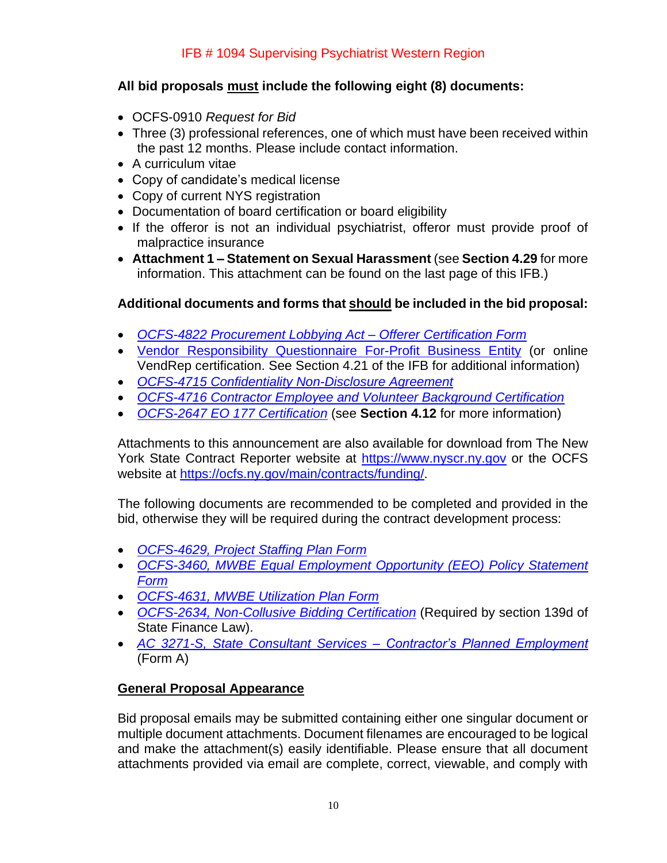# **All bid proposals must include the following eight (8) documents:**

- OCFS-0910 *Request for Bid*
- Three (3) professional references, one of which must have been received within the past 12 months. Please include contact information.
- A curriculum vitae
- Copy of candidate's medical license
- Copy of current NYS registration
- Documentation of board certification or board eligibility
- If the offeror is not an individual psychiatrist, offeror must provide proof of malpractice insurance
- **Attachment 1 – Statement on Sexual Harassment** (see **Section 4.29** for more information. This attachment can be found on the last page of this IFB.)

# **Additional documents and forms that should be included in the bid proposal:**

- *[OCFS-4822 Procurement Lobbying Act –](https://ocfs.ny.gov/main/Forms/Contracts/OCFS-4822%20Procurement%20Lobbying%20Act%20-%20Offerer%20Certification%20Form.doc) Offerer Certification Form*
- [Vendor Responsibility Questionnaire For-Profit Business Entity](https://www.osc.state.ny.us/state-vendors/vendrep/profit-non-construction-questionnaire) (or online VendRep certification. See Section 4.21 of the IFB for additional information)
- *[OCFS-4715 Confidentiality Non-Disclosure Agreement](https://ocfs.ny.gov/forms/ocfs/OCFS-4715.docx)*
- *[OCFS-4716 Contractor Employee and Volunteer Background Certification](https://ocfs.ny.gov/main/Forms/Contracts/OCFS-4716%20Contractor%20Employee%20Background%20Certification.dot)*
- *[OCFS-2647 EO 177 Certification](https://ocfs.ny.gov/main/Forms/Contracts/OCFS-2647.docx)* (see **Section 4.12** for more information)

Attachments to this announcement are also available for download from The New York State Contract Reporter website at [https://www.nyscr.ny.gov](https://www.nyscr.ny.gov/) or the OCFS website at [https://ocfs.ny.gov/main/contracts/funding/.](https://ocfs.ny.gov/main/contracts/funding/)

The following documents are recommended to be completed and provided in the bid, otherwise they will be required during the contract development process:

- *[OCFS-4629, Project Staffing Plan Form](https://ocfs.ny.gov/forms/ocfs/OCFS-4629.docx)*
- *[OCFS-3460, MWBE Equal Employment Opportunity \(EEO\) Policy Statement](https://ocfs.ny.gov/main/Forms/Contracts/OCFS-3460.docx)  [Form](https://ocfs.ny.gov/main/Forms/Contracts/OCFS-3460.docx)*
- *[OCFS-4631, MWBE Utilization Plan Form](https://ocfs.ny.gov/main/Forms/Contracts/OCFS-4631%20M-WBE%20Utilization%20Plan%20Form.dot)*
- *[OCFS-2634, Non-Collusive Bidding Certification](https://ocfs.ny.gov/main/Forms/Contracts/OCFS-2634.dotx)* (Required by section 139d of State Finance Law).
- *[AC 3271-S, State Consultant Services –](https://ocfs.ny.gov/forms/ocfs/OCFS-3271.pdf) Contractor's Planned Employment* (Form A)

#### **General Proposal Appearance**

Bid proposal emails may be submitted containing either one singular document or multiple document attachments. Document filenames are encouraged to be logical and make the attachment(s) easily identifiable. Please ensure that all document attachments provided via email are complete, correct, viewable, and comply with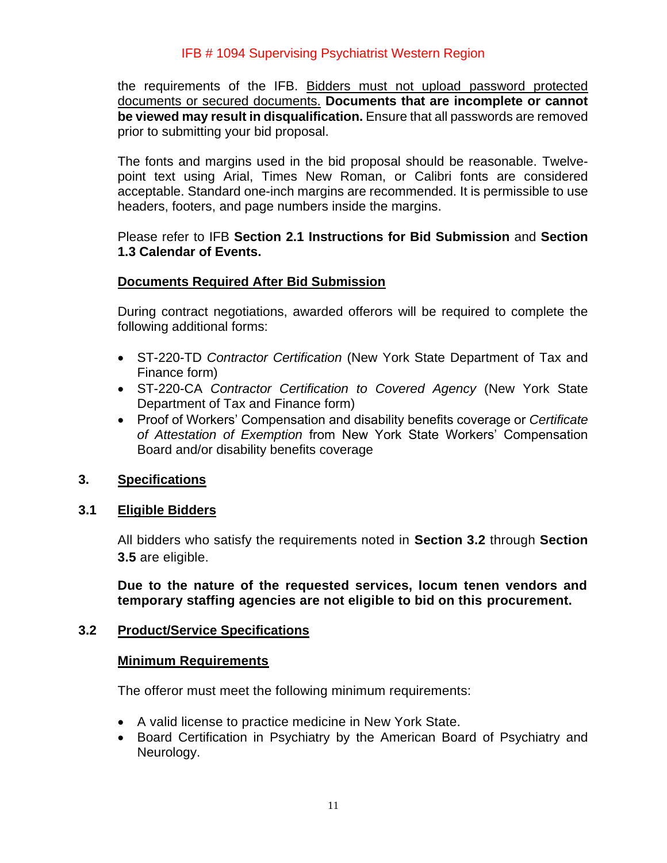the requirements of the IFB. Bidders must not upload password protected documents or secured documents. **Documents that are incomplete or cannot be viewed may result in disqualification.** Ensure that all passwords are removed prior to submitting your bid proposal.

The fonts and margins used in the bid proposal should be reasonable. Twelvepoint text using Arial, Times New Roman, or Calibri fonts are considered acceptable. Standard one-inch margins are recommended. It is permissible to use headers, footers, and page numbers inside the margins.

Please refer to IFB **Section 2.1 Instructions for Bid Submission** and **Section 1.3 Calendar of Events.**

## **Documents Required After Bid Submission**

During contract negotiations, awarded offerors will be required to complete the following additional forms:

- ST-220-TD *Contractor Certification* (New York State Department of Tax and Finance form)
- ST-220-CA *Contractor Certification to Covered Agency* (New York State Department of Tax and Finance form)
- Proof of Workers' Compensation and disability benefits coverage or *Certificate of Attestation of Exemption* from New York State Workers' Compensation Board and/or disability benefits coverage

#### <span id="page-10-0"></span>**3. Specifications**

#### <span id="page-10-1"></span>**3.1 Eligible Bidders**

All bidders who satisfy the requirements noted in **Section 3.2** through **Section 3.5** are eligible.

**Due to the nature of the requested services, locum tenen vendors and temporary staffing agencies are not eligible to bid on this procurement.**

#### <span id="page-10-2"></span>**3.2 Product/Service Specifications**

#### **Minimum Requirements**

The offeror must meet the following minimum requirements:

- A valid license to practice medicine in New York State.
- Board Certification in Psychiatry by the American Board of Psychiatry and Neurology.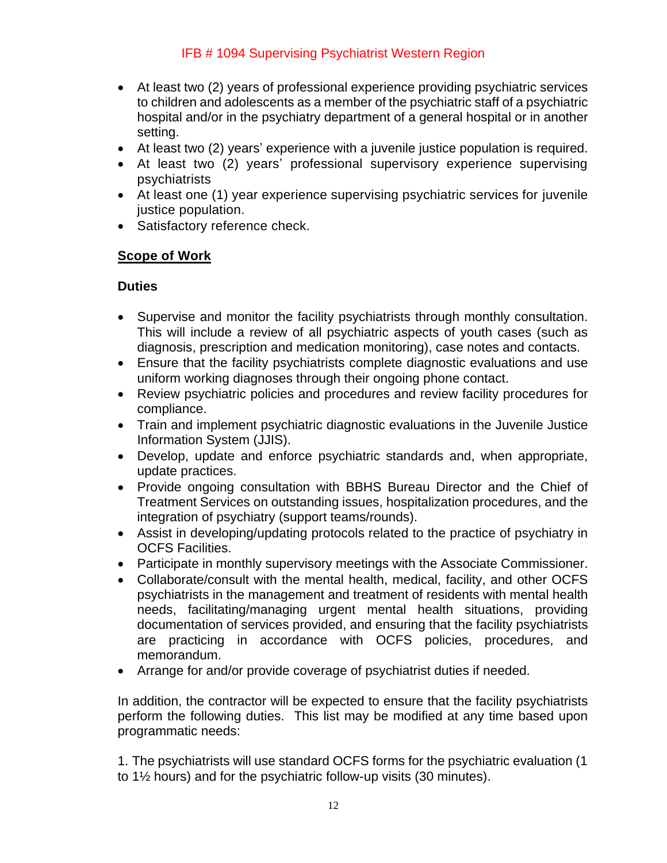- At least two (2) years of professional experience providing psychiatric services to children and adolescents as a member of the psychiatric staff of a psychiatric hospital and/or in the psychiatry department of a general hospital or in another setting.
- At least two (2) years' experience with a juvenile justice population is required.
- At least two (2) years' professional supervisory experience supervising psychiatrists
- At least one (1) year experience supervising psychiatric services for juvenile justice population.
- Satisfactory reference check.

## **Scope of Work**

#### **Duties**

- Supervise and monitor the facility psychiatrists through monthly consultation. This will include a review of all psychiatric aspects of youth cases (such as diagnosis, prescription and medication monitoring), case notes and contacts.
- Ensure that the facility psychiatrists complete diagnostic evaluations and use uniform working diagnoses through their ongoing phone contact.
- Review psychiatric policies and procedures and review facility procedures for compliance.
- Train and implement psychiatric diagnostic evaluations in the Juvenile Justice Information System (JJIS).
- Develop, update and enforce psychiatric standards and, when appropriate, update practices.
- Provide ongoing consultation with BBHS Bureau Director and the Chief of Treatment Services on outstanding issues, hospitalization procedures, and the integration of psychiatry (support teams/rounds).
- Assist in developing/updating protocols related to the practice of psychiatry in OCFS Facilities.
- Participate in monthly supervisory meetings with the Associate Commissioner.
- Collaborate/consult with the mental health, medical, facility, and other OCFS psychiatrists in the management and treatment of residents with mental health needs, facilitating/managing urgent mental health situations, providing documentation of services provided, and ensuring that the facility psychiatrists are practicing in accordance with OCFS policies, procedures, and memorandum.
- Arrange for and/or provide coverage of psychiatrist duties if needed.

In addition, the contractor will be expected to ensure that the facility psychiatrists perform the following duties. This list may be modified at any time based upon programmatic needs:

1. The psychiatrists will use standard OCFS forms for the psychiatric evaluation (1 to 1½ hours) and for the psychiatric follow-up visits (30 minutes).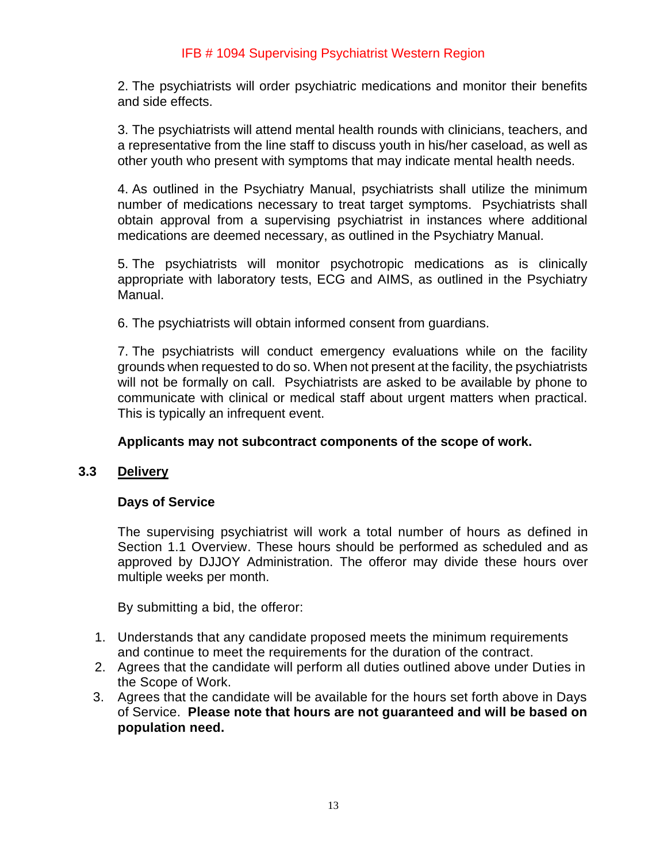2. The psychiatrists will order psychiatric medications and monitor their benefits and side effects.

3. The psychiatrists will attend mental health rounds with clinicians, teachers, and a representative from the line staff to discuss youth in his/her caseload, as well as other youth who present with symptoms that may indicate mental health needs.

4. As outlined in the Psychiatry Manual, psychiatrists shall utilize the minimum number of medications necessary to treat target symptoms. Psychiatrists shall obtain approval from a supervising psychiatrist in instances where additional medications are deemed necessary, as outlined in the Psychiatry Manual.

5. The psychiatrists will monitor psychotropic medications as is clinically appropriate with laboratory tests, ECG and AIMS, as outlined in the Psychiatry Manual.

6. The psychiatrists will obtain informed consent from guardians.

7. The psychiatrists will conduct emergency evaluations while on the facility grounds when requested to do so. When not present at the facility, the psychiatrists will not be formally on call. Psychiatrists are asked to be available by phone to communicate with clinical or medical staff about urgent matters when practical. This is typically an infrequent event.

#### <span id="page-12-0"></span>**Applicants may not subcontract components of the scope of work.**

## **3.3 Delivery**

#### **Days of Service**

The supervising psychiatrist will work a total number of hours as defined in Section 1.1 Overview. These hours should be performed as scheduled and as approved by DJJOY Administration. The offeror may divide these hours over multiple weeks per month.

By submitting a bid, the offeror:

- 1. Understands that any candidate proposed meets the minimum requirements and continue to meet the requirements for the duration of the contract.
- 2. Agrees that the candidate will perform all duties outlined above under Duties in the Scope of Work.
- 3. Agrees that the candidate will be available for the hours set forth above in Days of Service. **Please note that hours are not guaranteed and will be based on population need.**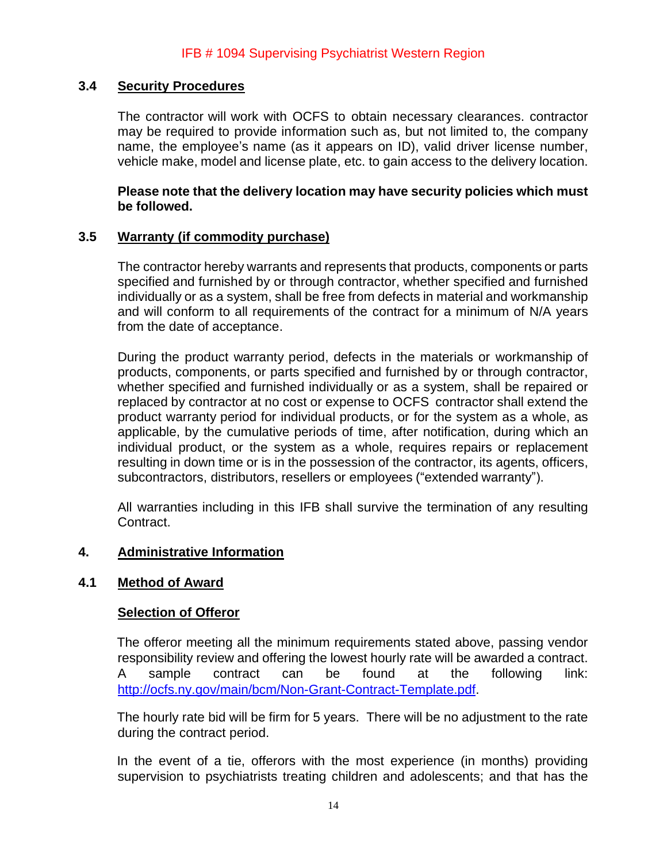## <span id="page-13-0"></span>**3.4 Security Procedures**

The contractor will work with OCFS to obtain necessary clearances. contractor may be required to provide information such as, but not limited to, the company name, the employee's name (as it appears on ID), valid driver license number, vehicle make, model and license plate, etc. to gain access to the delivery location.

#### **Please note that the delivery location may have security policies which must be followed.**

## <span id="page-13-1"></span>**3.5 Warranty (if commodity purchase)**

The contractor hereby warrants and represents that products, components or parts specified and furnished by or through contractor, whether specified and furnished individually or as a system, shall be free from defects in material and workmanship and will conform to all requirements of the contract for a minimum of N/A years from the date of acceptance.

During the product warranty period, defects in the materials or workmanship of products, components, or parts specified and furnished by or through contractor, whether specified and furnished individually or as a system, shall be repaired or replaced by contractor at no cost or expense to OCFS contractor shall extend the product warranty period for individual products, or for the system as a whole, as applicable, by the cumulative periods of time, after notification, during which an individual product, or the system as a whole, requires repairs or replacement resulting in down time or is in the possession of the contractor, its agents, officers, subcontractors, distributors, resellers or employees ("extended warranty").

All warranties including in this IFB shall survive the termination of any resulting Contract.

#### <span id="page-13-2"></span>**4. Administrative Information**

#### <span id="page-13-3"></span>**4.1 Method of Award**

#### **Selection of Offeror**

The offeror meeting all the minimum requirements stated above, passing vendor responsibility review and offering the lowest hourly rate will be awarded a contract. A sample contract can be found at the following link: [http://ocfs.ny.gov/main/bcm/Non-Grant-Contract-Template.pdf.](http://ocfs.ny.gov/main/bcm/Non-Grant-Contract-Template.pdf)

The hourly rate bid will be firm for 5 years. There will be no adjustment to the rate during the contract period.

In the event of a tie, offerors with the most experience (in months) providing supervision to psychiatrists treating children and adolescents; and that has the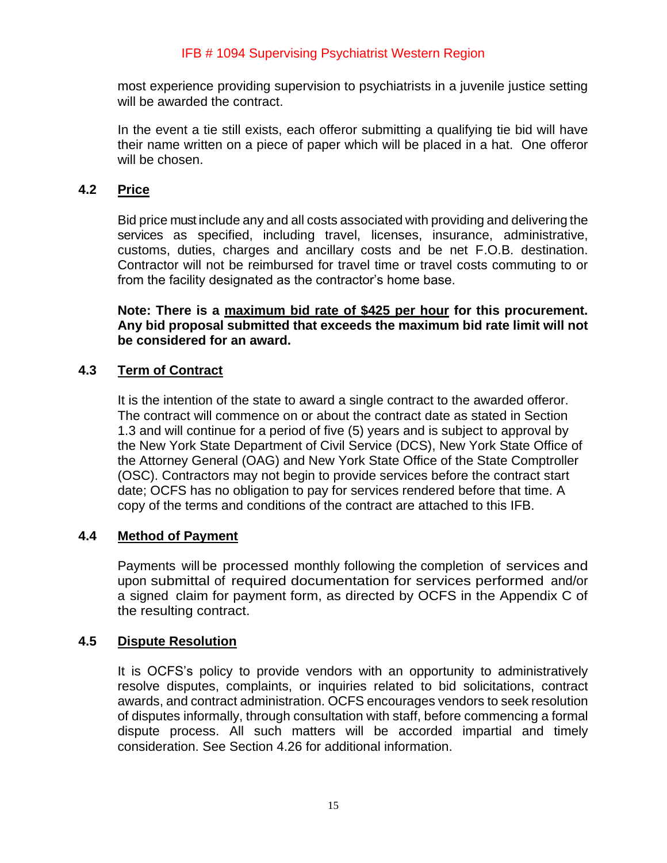most experience providing supervision to psychiatrists in a juvenile justice setting will be awarded the contract.

In the event a tie still exists, each offeror submitting a qualifying tie bid will have their name written on a piece of paper which will be placed in a hat. One offeror will be chosen.

## <span id="page-14-0"></span>**4.2 Price**

Bid price must include any and all costs associated with providing and delivering the services as specified, including travel, licenses, insurance, administrative, customs, duties, charges and ancillary costs and be net F.O.B. destination. Contractor will not be reimbursed for travel time or travel costs commuting to or from the facility designated as the contractor's home base.

**Note: There is a maximum bid rate of \$425 per hour for this procurement. Any bid proposal submitted that exceeds the maximum bid rate limit will not be considered for an award.** 

## <span id="page-14-1"></span>**4.3 Term of Contract**

It is the intention of the state to award a single contract to the awarded offeror. The contract will commence on or about the contract date as stated in Section 1.3 and will continue for a period of five (5) years and is subject to approval by the New York State Department of Civil Service (DCS), New York State Office of the Attorney General (OAG) and New York State Office of the State Comptroller (OSC). Contractors may not begin to provide services before the contract start date; OCFS has no obligation to pay for services rendered before that time. A copy of the terms and conditions of the contract are attached to this IFB.

# <span id="page-14-2"></span>**4.4 Method of Payment**

Payments will be processed monthly following the completion of services and upon submittal of required documentation for services performed and/or a signed claim for payment form, as directed by OCFS in the Appendix C of the resulting contract.

#### <span id="page-14-3"></span>**4.5 Dispute Resolution**

It is OCFS's policy to provide vendors with an opportunity to administratively resolve disputes, complaints, or inquiries related to bid solicitations, contract awards, and contract administration. OCFS encourages vendors to seek resolution of disputes informally, through consultation with staff, before commencing a formal dispute process. All such matters will be accorded impartial and timely consideration. See Section 4.26 for additional information.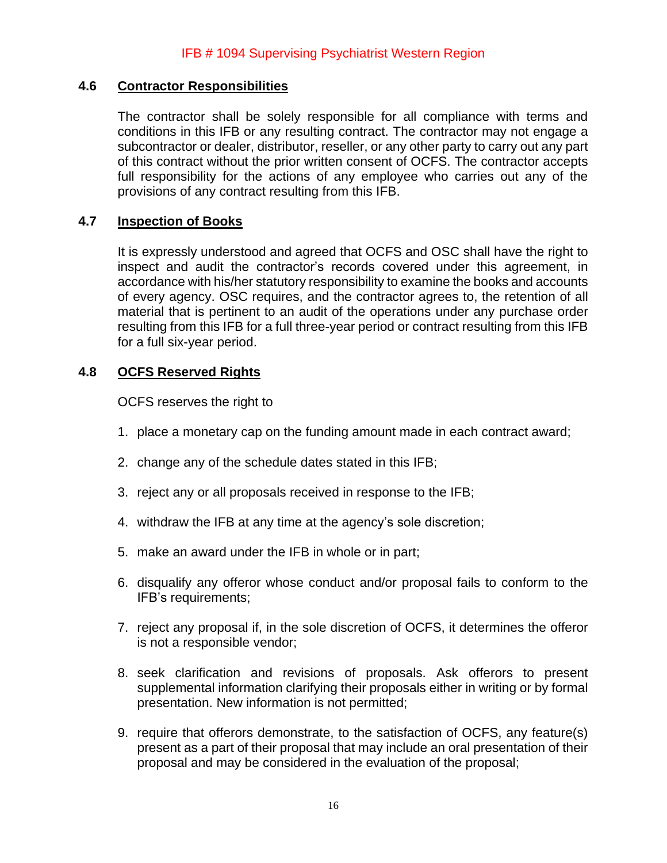## <span id="page-15-0"></span>**4.6 Contractor Responsibilities**

The contractor shall be solely responsible for all compliance with terms and conditions in this IFB or any resulting contract. The contractor may not engage a subcontractor or dealer, distributor, reseller, or any other party to carry out any part of this contract without the prior written consent of OCFS. The contractor accepts full responsibility for the actions of any employee who carries out any of the provisions of any contract resulting from this IFB.

## <span id="page-15-1"></span>**4.7 Inspection of Books**

It is expressly understood and agreed that OCFS and OSC shall have the right to inspect and audit the contractor's records covered under this agreement, in accordance with his/her statutory responsibility to examine the books and accounts of every agency. OSC requires, and the contractor agrees to, the retention of all material that is pertinent to an audit of the operations under any purchase order resulting from this IFB for a full three-year period or contract resulting from this IFB for a full six-year period.

## <span id="page-15-2"></span>**4.8 OCFS Reserved Rights**

OCFS reserves the right to

- 1. place a monetary cap on the funding amount made in each contract award;
- 2. change any of the schedule dates stated in this IFB;
- 3. reject any or all proposals received in response to the IFB;
- 4. withdraw the IFB at any time at the agency's sole discretion;
- 5. make an award under the IFB in whole or in part;
- 6. disqualify any offeror whose conduct and/or proposal fails to conform to the IFB's requirements;
- 7. reject any proposal if, in the sole discretion of OCFS, it determines the offeror is not a responsible vendor;
- 8. seek clarification and revisions of proposals. Ask offerors to present supplemental information clarifying their proposals either in writing or by formal presentation. New information is not permitted;
- 9. require that offerors demonstrate, to the satisfaction of OCFS, any feature(s) present as a part of their proposal that may include an oral presentation of their proposal and may be considered in the evaluation of the proposal;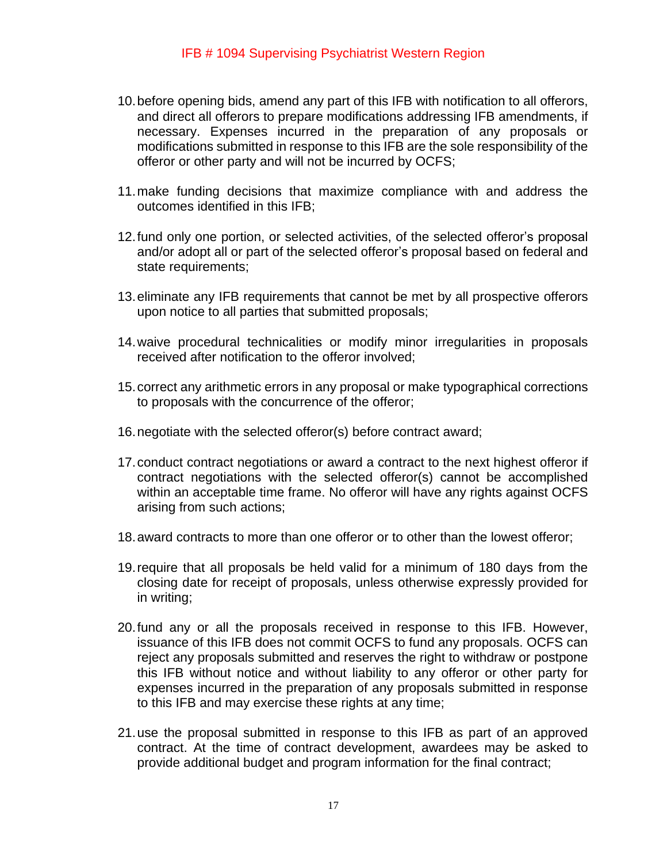- 10.before opening bids, amend any part of this IFB with notification to all offerors, and direct all offerors to prepare modifications addressing IFB amendments, if necessary. Expenses incurred in the preparation of any proposals or modifications submitted in response to this IFB are the sole responsibility of the offeror or other party and will not be incurred by OCFS;
- 11.make funding decisions that maximize compliance with and address the outcomes identified in this IFB;
- 12.fund only one portion, or selected activities, of the selected offeror's proposal and/or adopt all or part of the selected offeror's proposal based on federal and state requirements;
- 13.eliminate any IFB requirements that cannot be met by all prospective offerors upon notice to all parties that submitted proposals;
- 14.waive procedural technicalities or modify minor irregularities in proposals received after notification to the offeror involved;
- 15.correct any arithmetic errors in any proposal or make typographical corrections to proposals with the concurrence of the offeror;
- 16.negotiate with the selected offeror(s) before contract award;
- 17.conduct contract negotiations or award a contract to the next highest offeror if contract negotiations with the selected offeror(s) cannot be accomplished within an acceptable time frame. No offeror will have any rights against OCFS arising from such actions;
- 18.award contracts to more than one offeror or to other than the lowest offeror;
- 19.require that all proposals be held valid for a minimum of 180 days from the closing date for receipt of proposals, unless otherwise expressly provided for in writing;
- 20.fund any or all the proposals received in response to this IFB. However, issuance of this IFB does not commit OCFS to fund any proposals. OCFS can reject any proposals submitted and reserves the right to withdraw or postpone this IFB without notice and without liability to any offeror or other party for expenses incurred in the preparation of any proposals submitted in response to this IFB and may exercise these rights at any time;
- 21.use the proposal submitted in response to this IFB as part of an approved contract. At the time of contract development, awardees may be asked to provide additional budget and program information for the final contract;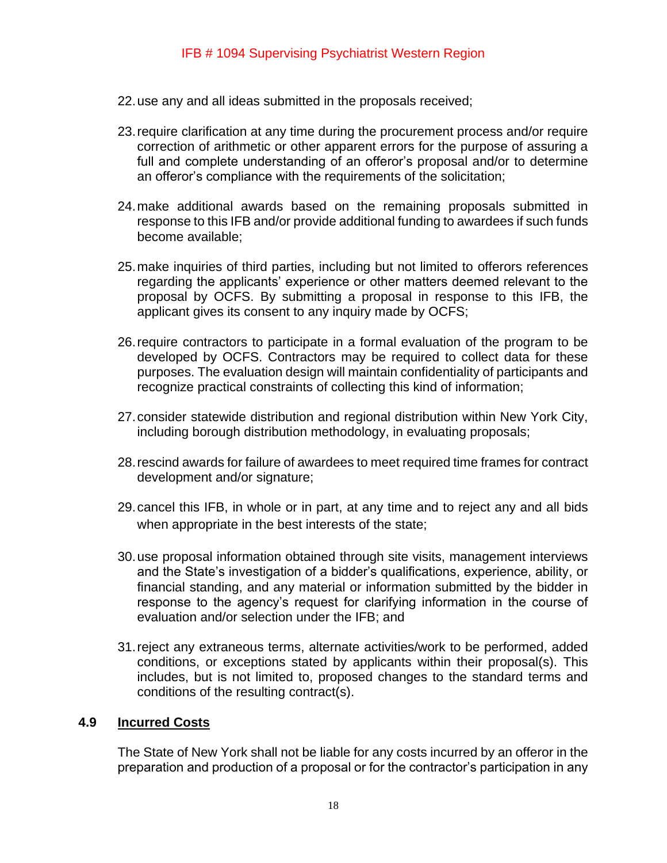- 22.use any and all ideas submitted in the proposals received;
- 23.require clarification at any time during the procurement process and/or require correction of arithmetic or other apparent errors for the purpose of assuring a full and complete understanding of an offeror's proposal and/or to determine an offeror's compliance with the requirements of the solicitation;
- 24.make additional awards based on the remaining proposals submitted in response to this IFB and/or provide additional funding to awardees if such funds become available;
- 25.make inquiries of third parties, including but not limited to offerors references regarding the applicants' experience or other matters deemed relevant to the proposal by OCFS. By submitting a proposal in response to this IFB, the applicant gives its consent to any inquiry made by OCFS;
- 26.require contractors to participate in a formal evaluation of the program to be developed by OCFS. Contractors may be required to collect data for these purposes. The evaluation design will maintain confidentiality of participants and recognize practical constraints of collecting this kind of information;
- 27.consider statewide distribution and regional distribution within New York City, including borough distribution methodology, in evaluating proposals;
- 28.rescind awards for failure of awardees to meet required time frames for contract development and/or signature;
- 29.cancel this IFB, in whole or in part, at any time and to reject any and all bids when appropriate in the best interests of the state;
- 30.use proposal information obtained through site visits, management interviews and the State's investigation of a bidder's qualifications, experience, ability, or financial standing, and any material or information submitted by the bidder in response to the agency's request for clarifying information in the course of evaluation and/or selection under the IFB; and
- 31.reject any extraneous terms, alternate activities/work to be performed, added conditions, or exceptions stated by applicants within their proposal(s). This includes, but is not limited to, proposed changes to the standard terms and conditions of the resulting contract(s).

#### <span id="page-17-0"></span>**4.9 Incurred Costs**

The State of New York shall not be liable for any costs incurred by an offeror in the preparation and production of a proposal or for the contractor's participation in any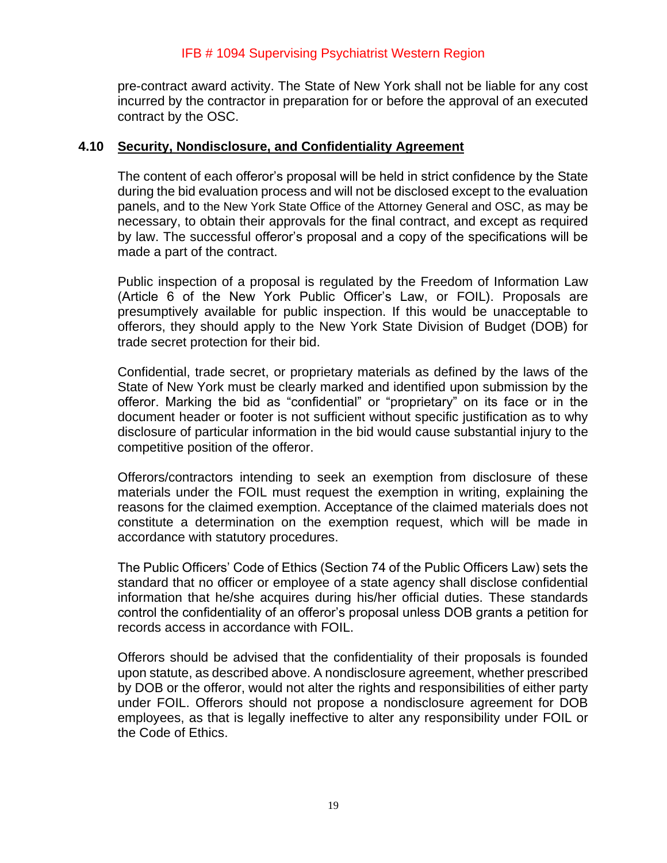pre-contract award activity. The State of New York shall not be liable for any cost incurred by the contractor in preparation for or before the approval of an executed contract by the OSC.

#### <span id="page-18-0"></span>**4.10 Security, Nondisclosure, and Confidentiality Agreement**

The content of each offeror's proposal will be held in strict confidence by the State during the bid evaluation process and will not be disclosed except to the evaluation panels, and to the New York State Office of the Attorney General and OSC, as may be necessary, to obtain their approvals for the final contract, and except as required by law. The successful offeror's proposal and a copy of the specifications will be made a part of the contract.

Public inspection of a proposal is regulated by the Freedom of Information Law (Article 6 of the New York Public Officer's Law, or FOIL). Proposals are presumptively available for public inspection. If this would be unacceptable to offerors, they should apply to the New York State Division of Budget (DOB) for trade secret protection for their bid.

Confidential, trade secret, or proprietary materials as defined by the laws of the State of New York must be clearly marked and identified upon submission by the offeror. Marking the bid as "confidential" or "proprietary" on its face or in the document header or footer is not sufficient without specific justification as to why disclosure of particular information in the bid would cause substantial injury to the competitive position of the offeror.

Offerors/contractors intending to seek an exemption from disclosure of these materials under the FOIL must request the exemption in writing, explaining the reasons for the claimed exemption. Acceptance of the claimed materials does not constitute a determination on the exemption request, which will be made in accordance with statutory procedures.

The Public Officers' Code of Ethics (Section 74 of the Public Officers Law) sets the standard that no officer or employee of a state agency shall disclose confidential information that he/she acquires during his/her official duties. These standards control the confidentiality of an offeror's proposal unless DOB grants a petition for records access in accordance with FOIL.

Offerors should be advised that the confidentiality of their proposals is founded upon statute, as described above. A nondisclosure agreement, whether prescribed by DOB or the offeror, would not alter the rights and responsibilities of either party under FOIL. Offerors should not propose a nondisclosure agreement for DOB employees, as that is legally ineffective to alter any responsibility under FOIL or the Code of Ethics.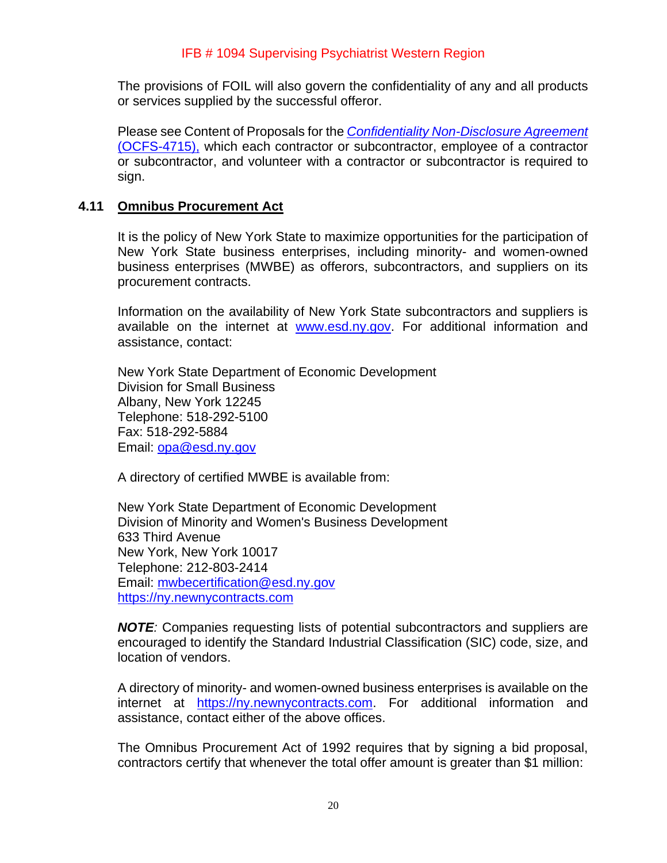The provisions of FOIL will also govern the confidentiality of any and all products or services supplied by the successful offeror.

Please see Content of Proposals for the *[Confidentiality Non-Disclosure Agreement](https://ocfs.ny.gov/forms/ocfs/OCFS-4715.pdf)* [\(OCFS-4715\),](https://ocfs.ny.gov/forms/ocfs/OCFS-4715.pdf) which each contractor or subcontractor, employee of a contractor or subcontractor, and volunteer with a contractor or subcontractor is required to sign.

#### <span id="page-19-0"></span>**4.11 Omnibus Procurement Act**

It is the policy of New York State to maximize opportunities for the participation of New York State business enterprises, including minority- and women-owned business enterprises (MWBE) as offerors, subcontractors, and suppliers on its procurement contracts.

Information on the availability of New York State subcontractors and suppliers is available on the internet at [www.esd.ny.gov.](http://www.esd.ny.gov/) For additional information and assistance, contact:

New York State Department of Economic Development Division for Small Business Albany, New York 12245 Telephone: 518-292-5100 Fax: 518-292-5884 Email: [opa@esd.ny.gov](mailto:opa@esd.ny.gov)

A directory of certified MWBE is available from:

New York State Department of Economic Development Division of Minority and Women's Business Development 633 Third Avenue New York, New York 10017 Telephone: 212-803-2414 Email: [mwbecertification@esd.ny.gov](mailto:mwbecertification@esd.ny.gov) [https://ny.newnycontracts.com](https://ny.newnycontracts.com/)

*NOTE:* Companies requesting lists of potential subcontractors and suppliers are encouraged to identify the Standard Industrial Classification (SIC) code, size, and location of vendors.

A directory of minority- and women-owned business enterprises is available on the internet at [https://ny.newnycontracts.com.](https://ny.newnycontracts.com/) For additional information and assistance, contact either of the above offices.

The Omnibus Procurement Act of 1992 requires that by signing a bid proposal, contractors certify that whenever the total offer amount is greater than \$1 million: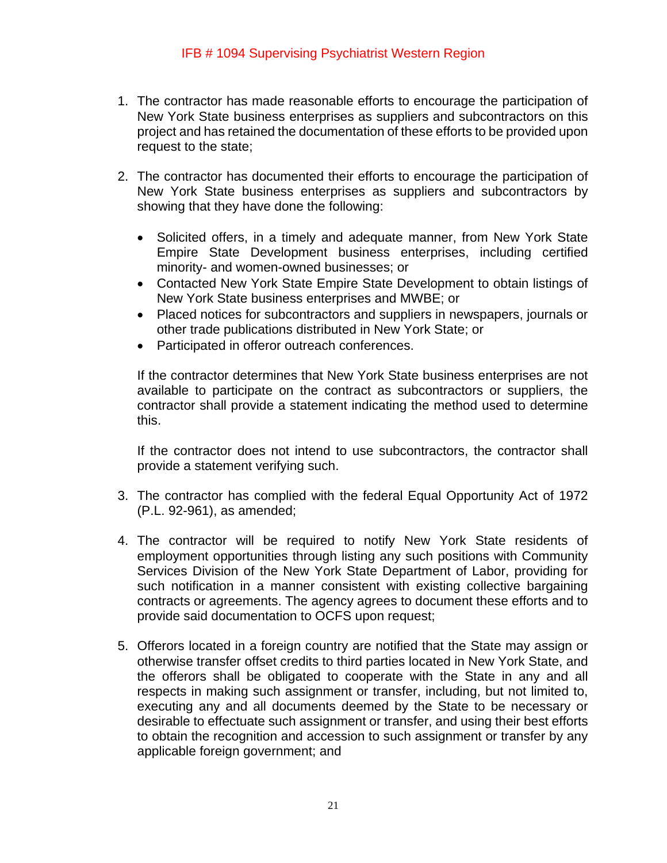- 1. The contractor has made reasonable efforts to encourage the participation of New York State business enterprises as suppliers and subcontractors on this project and has retained the documentation of these efforts to be provided upon request to the state;
- 2. The contractor has documented their efforts to encourage the participation of New York State business enterprises as suppliers and subcontractors by showing that they have done the following:
	- Solicited offers, in a timely and adequate manner, from New York State Empire State Development business enterprises, including certified minority- and women-owned businesses; or
	- Contacted New York State Empire State Development to obtain listings of New York State business enterprises and MWBE; or
	- Placed notices for subcontractors and suppliers in newspapers, journals or other trade publications distributed in New York State; or
	- Participated in offeror outreach conferences.

If the contractor determines that New York State business enterprises are not available to participate on the contract as subcontractors or suppliers, the contractor shall provide a statement indicating the method used to determine this.

If the contractor does not intend to use subcontractors, the contractor shall provide a statement verifying such.

- 3. The contractor has complied with the federal Equal Opportunity Act of 1972 (P.L. 92-961), as amended;
- 4. The contractor will be required to notify New York State residents of employment opportunities through listing any such positions with Community Services Division of the New York State Department of Labor, providing for such notification in a manner consistent with existing collective bargaining contracts or agreements. The agency agrees to document these efforts and to provide said documentation to OCFS upon request;
- 5. Offerors located in a foreign country are notified that the State may assign or otherwise transfer offset credits to third parties located in New York State, and the offerors shall be obligated to cooperate with the State in any and all respects in making such assignment or transfer, including, but not limited to, executing any and all documents deemed by the State to be necessary or desirable to effectuate such assignment or transfer, and using their best efforts to obtain the recognition and accession to such assignment or transfer by any applicable foreign government; and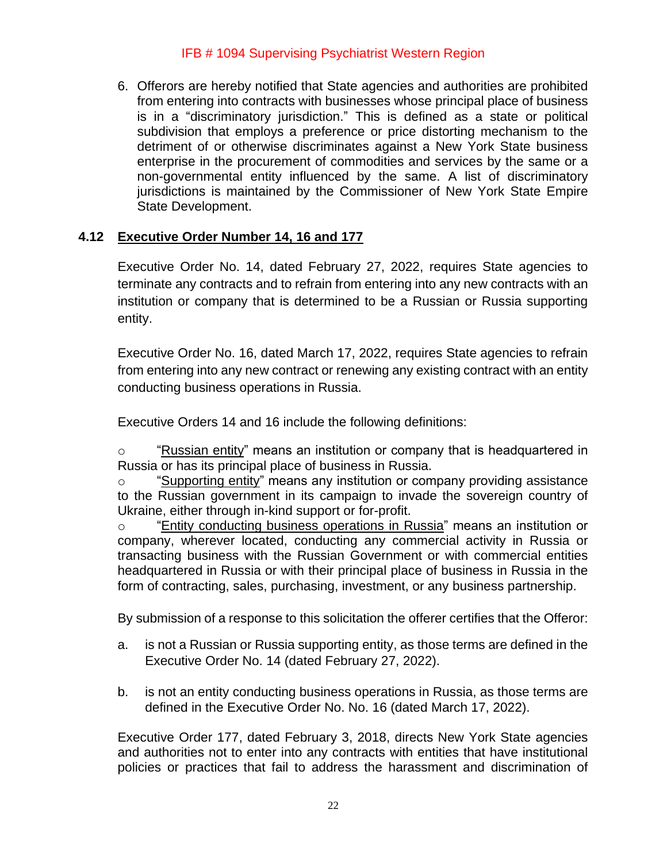6. Offerors are hereby notified that State agencies and authorities are prohibited from entering into contracts with businesses whose principal place of business is in a "discriminatory jurisdiction." This is defined as a state or political subdivision that employs a preference or price distorting mechanism to the detriment of or otherwise discriminates against a New York State business enterprise in the procurement of commodities and services by the same or a non-governmental entity influenced by the same. A list of discriminatory jurisdictions is maintained by the Commissioner of New York State Empire State Development.

# <span id="page-21-0"></span>**4.12 Executive Order Number 14, 16 and 177**

Executive Order No. 14, dated February 27, 2022, requires State agencies to terminate any contracts and to refrain from entering into any new contracts with an institution or company that is determined to be a Russian or Russia supporting entity.

Executive Order No. 16, dated March 17, 2022, requires State agencies to refrain from entering into any new contract or renewing any existing contract with an entity conducting business operations in Russia.

Executive Orders 14 and 16 include the following definitions:

 $\circ$  "Russian entity" means an institution or company that is headquartered in Russia or has its principal place of business in Russia.

o "Supporting entity" means any institution or company providing assistance to the Russian government in its campaign to invade the sovereign country of Ukraine, either through in-kind support or for-profit.

o "Entity conducting business operations in Russia" means an institution or company, wherever located, conducting any commercial activity in Russia or transacting business with the Russian Government or with commercial entities headquartered in Russia or with their principal place of business in Russia in the form of contracting, sales, purchasing, investment, or any business partnership.

By submission of a response to this solicitation the offerer certifies that the Offeror:

- a. is not a Russian or Russia supporting entity, as those terms are defined in the Executive Order No. 14 (dated February 27, 2022).
- b. is not an entity conducting business operations in Russia, as those terms are defined in the Executive Order No. No. 16 (dated March 17, 2022).

Executive Order 177, dated February 3, 2018, directs New York State agencies and authorities not to enter into any contracts with entities that have institutional policies or practices that fail to address the harassment and discrimination of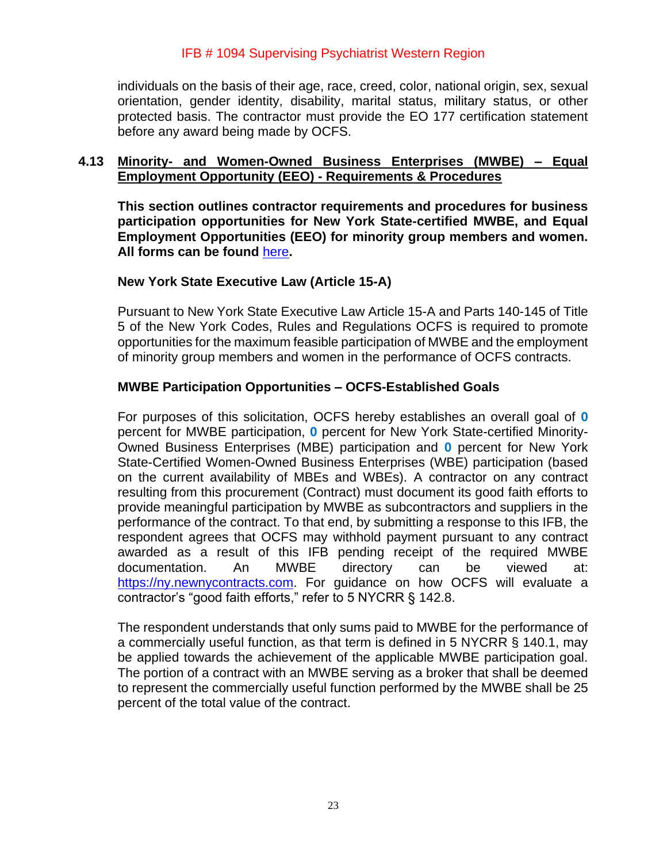individuals on the basis of their age, race, creed, color, national origin, sex, sexual orientation, gender identity, disability, marital status, military status, or other protected basis. The contractor must provide the EO 177 certification statement before any award being made by OCFS.

#### <span id="page-22-0"></span>**4.13 Minority- and Women-Owned Business Enterprises (MWBE) – Equal Employment Opportunity (EEO) - Requirements & Procedures**

**This section outlines contractor requirements and procedures for business participation opportunities for New York State-certified MWBE, and Equal Employment Opportunities (EEO) for minority group members and women. All forms can be found** [here](https://ocfs.ny.gov/main/documents/docs.asp?document_type=1&category_number=44)**.**

#### **New York State Executive Law (Article 15-A)**

Pursuant to New York State Executive Law Article 15-A and Parts 140-145 of Title 5 of the New York Codes, Rules and Regulations OCFS is required to promote opportunities for the maximum feasible participation of MWBE and the employment of minority group members and women in the performance of OCFS contracts.

#### **MWBE Participation Opportunities – OCFS-Established Goals**

For purposes of this solicitation, OCFS hereby establishes an overall goal of **0** percent for MWBE participation, **0** percent for New York State-certified Minority-Owned Business Enterprises (MBE) participation and **0** percent for New York State-Certified Women-Owned Business Enterprises (WBE) participation (based on the current availability of MBEs and WBEs). A contractor on any contract resulting from this procurement (Contract) must document its good faith efforts to provide meaningful participation by MWBE as subcontractors and suppliers in the performance of the contract. To that end, by submitting a response to this IFB, the respondent agrees that OCFS may withhold payment pursuant to any contract awarded as a result of this IFB pending receipt of the required MWBE documentation. An MWBE directory can be viewed at: [https://ny.newnycontracts.com.](https://ny.newnycontracts.com/) For guidance on how OCFS will evaluate a contractor's "good faith efforts," refer to 5 NYCRR § 142.8.

The respondent understands that only sums paid to MWBE for the performance of a commercially useful function, as that term is defined in 5 NYCRR § 140.1, may be applied towards the achievement of the applicable MWBE participation goal. The portion of a contract with an MWBE serving as a broker that shall be deemed to represent the commercially useful function performed by the MWBE shall be 25 percent of the total value of the contract.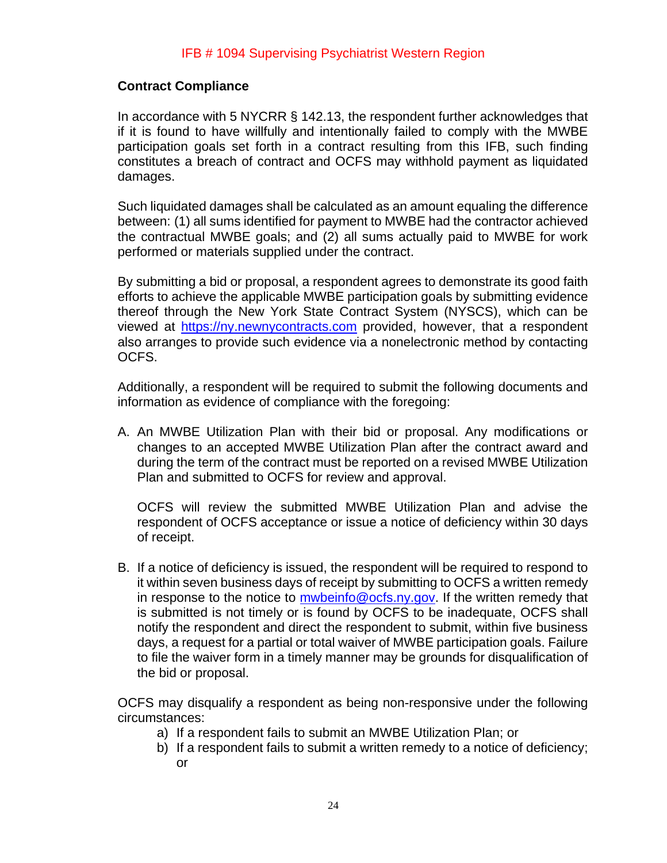## **Contract Compliance**

In accordance with 5 NYCRR § 142.13, the respondent further acknowledges that if it is found to have willfully and intentionally failed to comply with the MWBE participation goals set forth in a contract resulting from this IFB, such finding constitutes a breach of contract and OCFS may withhold payment as liquidated damages.

Such liquidated damages shall be calculated as an amount equaling the difference between: (1) all sums identified for payment to MWBE had the contractor achieved the contractual MWBE goals; and (2) all sums actually paid to MWBE for work performed or materials supplied under the contract.

By submitting a bid or proposal, a respondent agrees to demonstrate its good faith efforts to achieve the applicable MWBE participation goals by submitting evidence thereof through the New York State Contract System (NYSCS), which can be viewed at [https://ny.newnycontracts.com](https://ny.newnycontracts.com/) provided, however, that a respondent also arranges to provide such evidence via a nonelectronic method by contacting OCFS.

Additionally, a respondent will be required to submit the following documents and information as evidence of compliance with the foregoing:

A. An MWBE Utilization Plan with their bid or proposal. Any modifications or changes to an accepted MWBE Utilization Plan after the contract award and during the term of the contract must be reported on a revised MWBE Utilization Plan and submitted to OCFS for review and approval.

OCFS will review the submitted MWBE Utilization Plan and advise the respondent of OCFS acceptance or issue a notice of deficiency within 30 days of receipt.

B. If a notice of deficiency is issued, the respondent will be required to respond to it within seven business days of receipt by submitting to OCFS a written remedy in response to the notice to [mwbeinfo@ocfs.ny.gov.](mailto:mwbeinfo@ocfs.ny.gov) If the written remedy that is submitted is not timely or is found by OCFS to be inadequate, OCFS shall notify the respondent and direct the respondent to submit, within five business days, a request for a partial or total waiver of MWBE participation goals. Failure to file the waiver form in a timely manner may be grounds for disqualification of the bid or proposal.

OCFS may disqualify a respondent as being non-responsive under the following circumstances:

- a) If a respondent fails to submit an MWBE Utilization Plan; or
- b) If a respondent fails to submit a written remedy to a notice of deficiency; or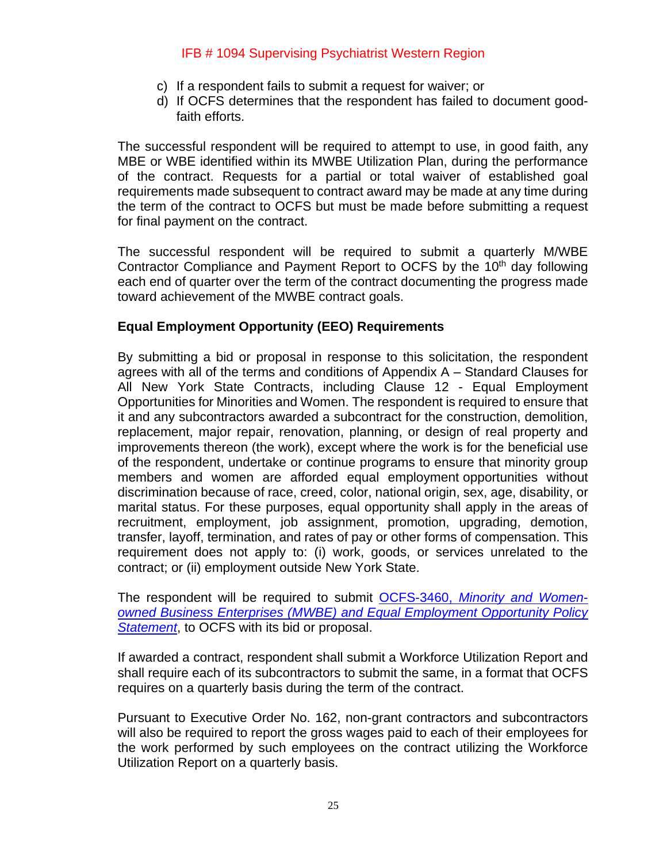- c) If a respondent fails to submit a request for waiver; or
- d) If OCFS determines that the respondent has failed to document goodfaith efforts.

The successful respondent will be required to attempt to use, in good faith, any MBE or WBE identified within its MWBE Utilization Plan, during the performance of the contract. Requests for a partial or total waiver of established goal requirements made subsequent to contract award may be made at any time during the term of the contract to OCFS but must be made before submitting a request for final payment on the contract.

The successful respondent will be required to submit a quarterly M/WBE Contractor Compliance and Payment Report to OCFS by the  $10<sup>th</sup>$  day following each end of quarter over the term of the contract documenting the progress made toward achievement of the MWBE contract goals.

#### **Equal Employment Opportunity (EEO) Requirements**

By submitting a bid or proposal in response to this solicitation, the respondent agrees with all of the terms and conditions of Appendix A – Standard Clauses for All New York State Contracts, including Clause 12 - Equal Employment Opportunities for Minorities and Women. The respondent is required to ensure that it and any subcontractors awarded a subcontract for the construction, demolition, replacement, major repair, renovation, planning, or design of real property and improvements thereon (the work), except where the work is for the beneficial use of the respondent, undertake or continue programs to ensure that minority group members and women are afforded equal employment opportunities without discrimination because of race, creed, color, national origin, sex, age, disability, or marital status. For these purposes, equal opportunity shall apply in the areas of recruitment, employment, job assignment, promotion, upgrading, demotion, transfer, layoff, termination, and rates of pay or other forms of compensation. This requirement does not apply to: (i) work, goods, or services unrelated to the contract; or (ii) employment outside New York State.

The respondent will be required to submit OCFS-3460, *[Minority and Women](https://ocfs.ny.gov/main/Forms/Contracts/OCFS-3460.docx)owned Business Enterprises (MWBE) [and Equal Employment Opportunity Policy](https://ocfs.ny.gov/main/Forms/Contracts/OCFS-3460.docx) [Statement](https://ocfs.ny.gov/main/Forms/Contracts/OCFS-3460.docx)*, to OCFS with its bid or proposal.

If awarded a contract, respondent shall submit a Workforce Utilization Report and shall require each of its subcontractors to submit the same, in a format that OCFS requires on a quarterly basis during the term of the contract.

Pursuant to Executive Order No. 162, non-grant contractors and subcontractors will also be required to report the gross wages paid to each of their employees for the work performed by such employees on the contract utilizing the Workforce Utilization Report on a quarterly basis.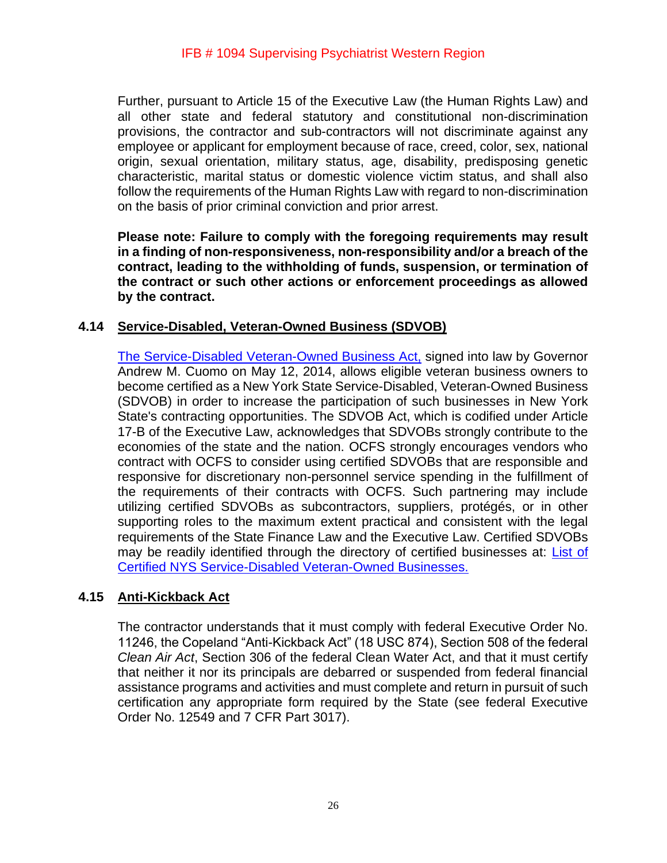Further, pursuant to Article 15 of the Executive Law (the Human Rights Law) and all other state and federal statutory and constitutional non-discrimination provisions, the contractor and sub-contractors will not discriminate against any employee or applicant for employment because of race, creed, color, sex, national origin, sexual orientation, military status, age, disability, predisposing genetic characteristic, marital status or domestic violence victim status, and shall also follow the requirements of the Human Rights Law with regard to non-discrimination on the basis of prior criminal conviction and prior arrest.

**Please note: Failure to comply with the foregoing requirements may result in a finding of non-responsiveness, non-responsibility and/or a breach of the contract, leading to the withholding of funds, suspension, or termination of the contract or such other actions or enforcement proceedings as allowed by the contract.**

#### <span id="page-25-0"></span>**4.14 Service-Disabled, Veteran-Owned Business (SDVOB)**

[The Service-Disabled Veteran-Owned Business Act,](https://ogs.ny.gov/Veterans/) signed into law by Governor Andrew M. Cuomo on May 12, 2014, allows eligible veteran business owners to become certified as a New York State Service-Disabled, Veteran-Owned Business (SDVOB) in order to increase the participation of such businesses in New York State's contracting opportunities. The SDVOB Act, which is codified under Article 17-B of the Executive Law, acknowledges that SDVOBs strongly contribute to the economies of the state and the nation. OCFS strongly encourages vendors who contract with OCFS to consider using certified SDVOBs that are responsible and responsive for discretionary non-personnel service spending in the fulfillment of the requirements of their contracts with OCFS. Such partnering may include utilizing certified SDVOBs as subcontractors, suppliers, protégés, or in other supporting roles to the maximum extent practical and consistent with the legal requirements of the State Finance Law and the Executive Law. Certified SDVOBs may be readily identified through the directory of certified businesses at: List of [Certified NYS Service-Disabled Veteran-Owned Businesses.](https://online.ogs.ny.gov/SDVOB/search)

#### <span id="page-25-1"></span>**4.15 Anti-Kickback Act**

The contractor understands that it must comply with federal Executive Order No. 11246, the Copeland "Anti-Kickback Act" (18 USC 874), Section 508 of the federal *Clean Air Act*, Section 306 of the federal Clean Water Act, and that it must certify that neither it nor its principals are debarred or suspended from federal financial assistance programs and activities and must complete and return in pursuit of such certification any appropriate form required by the State (see federal Executive Order No. 12549 and 7 CFR Part 3017).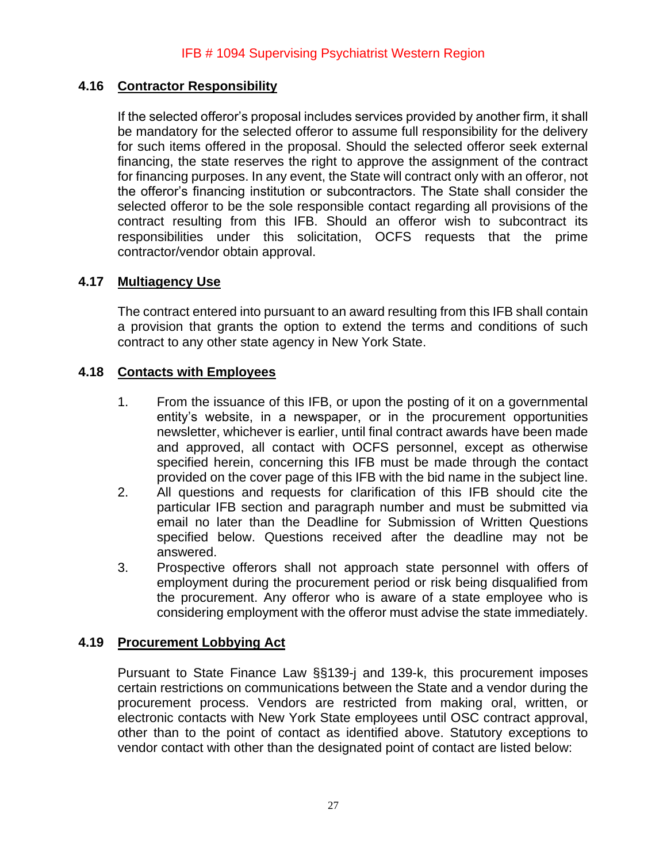# <span id="page-26-0"></span>**4.16 Contractor Responsibility**

If the selected offeror's proposal includes services provided by another firm, it shall be mandatory for the selected offeror to assume full responsibility for the delivery for such items offered in the proposal. Should the selected offeror seek external financing, the state reserves the right to approve the assignment of the contract for financing purposes. In any event, the State will contract only with an offeror, not the offeror's financing institution or subcontractors. The State shall consider the selected offeror to be the sole responsible contact regarding all provisions of the contract resulting from this IFB. Should an offeror wish to subcontract its responsibilities under this solicitation, OCFS requests that the prime contractor/vendor obtain approval.

## <span id="page-26-1"></span>**4.17 Multiagency Use**

The contract entered into pursuant to an award resulting from this IFB shall contain a provision that grants the option to extend the terms and conditions of such contract to any other state agency in New York State.

#### <span id="page-26-2"></span>**4.18 Contacts with Employees**

- 1. From the issuance of this IFB, or upon the posting of it on a governmental entity's website, in a newspaper, or in the procurement opportunities newsletter, whichever is earlier, until final contract awards have been made and approved, all contact with OCFS personnel, except as otherwise specified herein, concerning this IFB must be made through the contact provided on the cover page of this IFB with the bid name in the subject line.
- 2. All questions and requests for clarification of this IFB should cite the particular IFB section and paragraph number and must be submitted via email no later than the Deadline for Submission of Written Questions specified below. Questions received after the deadline may not be answered.
- 3. Prospective offerors shall not approach state personnel with offers of employment during the procurement period or risk being disqualified from the procurement. Any offeror who is aware of a state employee who is considering employment with the offeror must advise the state immediately.

#### <span id="page-26-3"></span>**4.19 Procurement Lobbying Act**

Pursuant to State Finance Law §§139-j and 139-k, this procurement imposes certain restrictions on communications between the State and a vendor during the procurement process. Vendors are restricted from making oral, written, or electronic contacts with New York State employees until OSC contract approval, other than to the point of contact as identified above. Statutory exceptions to vendor contact with other than the designated point of contact are listed below: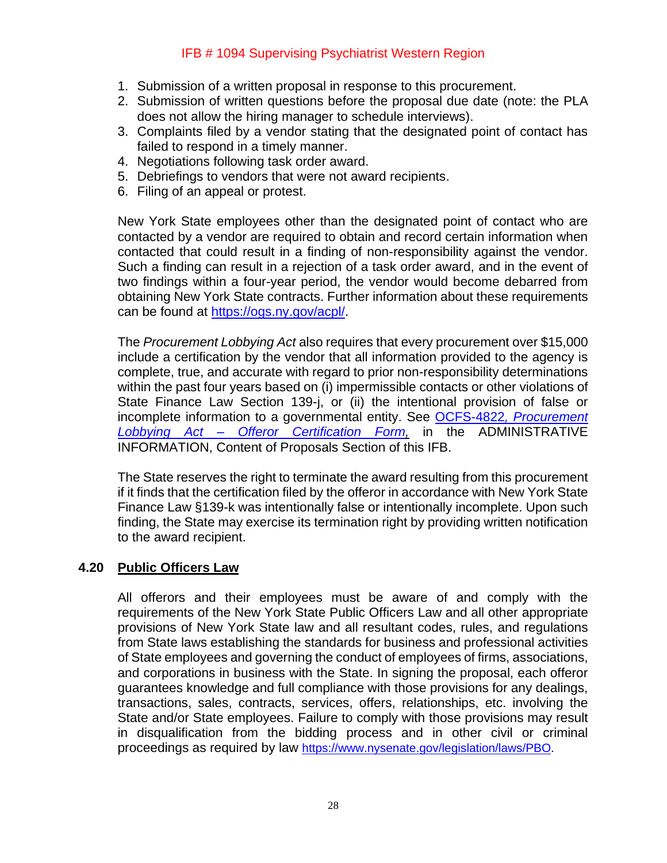- 1. Submission of a written proposal in response to this procurement.
- 2. Submission of written questions before the proposal due date (note: the PLA does not allow the hiring manager to schedule interviews).
- 3. Complaints filed by a vendor stating that the designated point of contact has failed to respond in a timely manner.
- 4. Negotiations following task order award.
- 5. Debriefings to vendors that were not award recipients.
- 6. Filing of an appeal or protest.

New York State employees other than the designated point of contact who are contacted by a vendor are required to obtain and record certain information when contacted that could result in a finding of non-responsibility against the vendor. Such a finding can result in a rejection of a task order award, and in the event of two findings within a four-year period, the vendor would become debarred from obtaining New York State contracts. Further information about these requirements can be found at [https://ogs.ny.gov/acpl/.](https://ogs.ny.gov/acpl/)

The *Procurement Lobbying Act* also requires that every procurement over \$15,000 include a certification by the vendor that all information provided to the agency is complete, true, and accurate with regard to prior non-responsibility determinations within the past four years based on (i) impermissible contacts or other violations of State Finance Law Section 139-j, or (ii) the intentional provision of false or incomplete information to a governmental entity. See OCFS-4822*[, Procurement](http://www.ocfs.state.ny.us/main/Forms/Contracts/OCFS-4822%20Procurement%20Lobbying%20Act%20-%20Offerer%20Certification%20Form.doc)  Lobbying Act – [Offeror Certification Form,](http://www.ocfs.state.ny.us/main/Forms/Contracts/OCFS-4822%20Procurement%20Lobbying%20Act%20-%20Offerer%20Certification%20Form.doc)* in the ADMINISTRATIVE INFORMATION, Content of Proposals Section of this IFB.

The State reserves the right to terminate the award resulting from this procurement if it finds that the certification filed by the offeror in accordance with New York State Finance Law §139-k was intentionally false or intentionally incomplete. Upon such finding, the State may exercise its termination right by providing written notification to the award recipient.

#### <span id="page-27-0"></span>**4.20 Public Officers Law**

All offerors and their employees must be aware of and comply with the requirements of the New York State Public Officers Law and all other appropriate provisions of New York State law and all resultant codes, rules, and regulations from State laws establishing the standards for business and professional activities of State employees and governing the conduct of employees of firms, associations, and corporations in business with the State. In signing the proposal, each offeror guarantees knowledge and full compliance with those provisions for any dealings, transactions, sales, contracts, services, offers, relationships, etc. involving the State and/or State employees. Failure to comply with those provisions may result in disqualification from the bidding process and in other civil or criminal proceedings as required by law <https://www.nysenate.gov/legislation/laws/PBO>.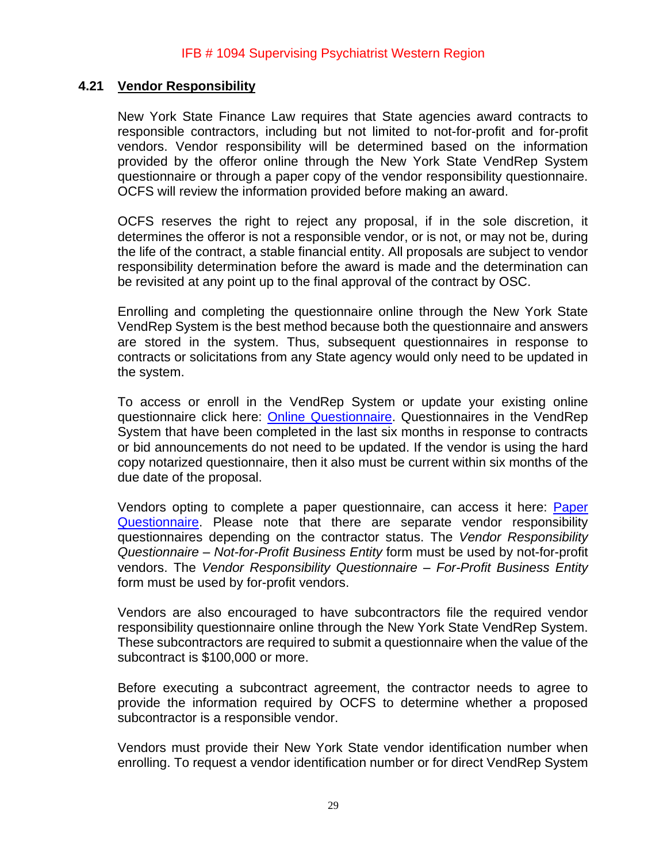#### <span id="page-28-0"></span>**4.21 Vendor Responsibility**

New York State Finance Law requires that State agencies award contracts to responsible contractors, including but not limited to not-for-profit and for-profit vendors. Vendor responsibility will be determined based on the information provided by the offeror online through the New York State VendRep System questionnaire or through a paper copy of the vendor responsibility questionnaire. OCFS will review the information provided before making an award.

OCFS reserves the right to reject any proposal, if in the sole discretion, it determines the offeror is not a responsible vendor, or is not, or may not be, during the life of the contract, a stable financial entity. All proposals are subject to vendor responsibility determination before the award is made and the determination can be revisited at any point up to the final approval of the contract by OSC.

Enrolling and completing the questionnaire online through the New York State VendRep System is the best method because both the questionnaire and answers are stored in the system. Thus, subsequent questionnaires in response to contracts or solicitations from any State agency would only need to be updated in the system.

To access or enroll in the VendRep System or update your existing online questionnaire click here: [Online Questionnaire.](https://www.osc.state.ny.us/state-vendors/vendrep/vendrep-system) Questionnaires in the VendRep System that have been completed in the last six months in response to contracts or bid announcements do not need to be updated. If the vendor is using the hard copy notarized questionnaire, then it also must be current within six months of the due date of the proposal.

Vendors opting to complete a paper questionnaire, can access it here: [Paper](http://www.osc.state.ny.us/vendrep/forms_vendor.htm) [Questionnaire.](http://www.osc.state.ny.us/vendrep/forms_vendor.htm) Please note that there are separate vendor responsibility questionnaires depending on the contractor status. The *Vendor Responsibility Questionnaire – Not-for-Profit Business Entity* form must be used by not-for-profit vendors. The *Vendor Responsibility Questionnaire – For-Profit Business Entity* form must be used by for-profit vendors.

Vendors are also encouraged to have subcontractors file the required vendor responsibility questionnaire online through the New York State VendRep System. These subcontractors are required to submit a questionnaire when the value of the subcontract is \$100,000 or more.

Before executing a subcontract agreement, the contractor needs to agree to provide the information required by OCFS to determine whether a proposed subcontractor is a responsible vendor.

Vendors must provide their New York State vendor identification number when enrolling. To request a vendor identification number or for direct VendRep System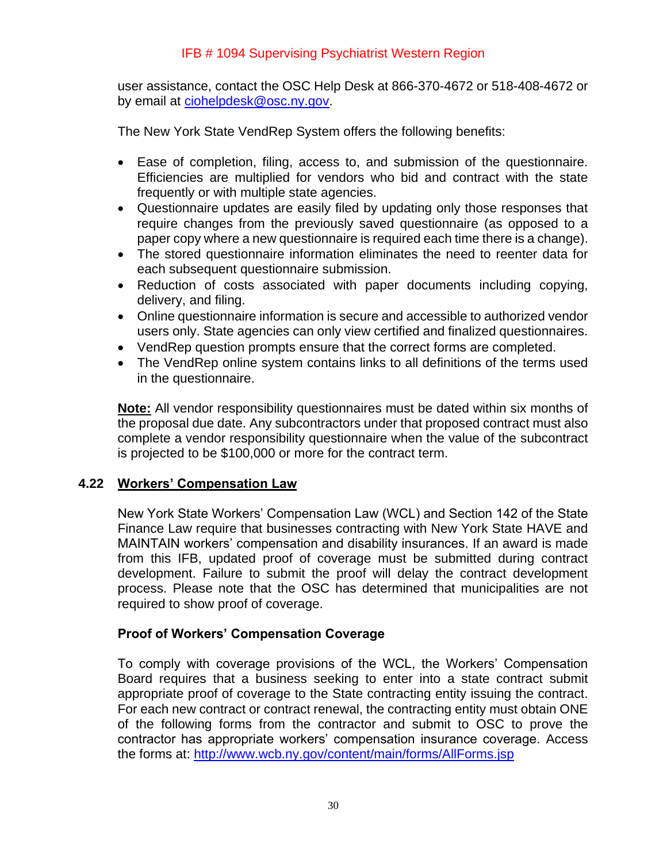user assistance, contact the OSC Help Desk at 866-370-4672 or 518-408-4672 or by email at [ciohelpdesk@osc.ny.gov.](mailto:ciohelpdesk@osc.ny.gov)

The New York State VendRep System offers the following benefits:

- Ease of completion, filing, access to, and submission of the questionnaire. Efficiencies are multiplied for vendors who bid and contract with the state frequently or with multiple state agencies.
- Questionnaire updates are easily filed by updating only those responses that require changes from the previously saved questionnaire (as opposed to a paper copy where a new questionnaire is required each time there is a change).
- The stored questionnaire information eliminates the need to reenter data for each subsequent questionnaire submission.
- Reduction of costs associated with paper documents including copying, delivery, and filing.
- Online questionnaire information is secure and accessible to authorized vendor users only. State agencies can only view certified and finalized questionnaires.
- VendRep question prompts ensure that the correct forms are completed.
- The VendRep online system contains links to all definitions of the terms used in the questionnaire.

**Note:** All vendor responsibility questionnaires must be dated within six months of the proposal due date. Any subcontractors under that proposed contract must also complete a vendor responsibility questionnaire when the value of the subcontract is projected to be \$100,000 or more for the contract term.

#### <span id="page-29-0"></span>**4.22 Workers' Compensation Law**

New York State Workers' Compensation Law (WCL) and Section 142 of the State Finance Law require that businesses contracting with New York State HAVE and MAINTAIN workers' compensation and disability insurances. If an award is made from this IFB, updated proof of coverage must be submitted during contract development. Failure to submit the proof will delay the contract development process. Please note that the OSC has determined that municipalities are not required to show proof of coverage.

#### **Proof of Workers' Compensation Coverage**

To comply with coverage provisions of the WCL, the Workers' Compensation Board requires that a business seeking to enter into a state contract submit appropriate proof of coverage to the State contracting entity issuing the contract. For each new contract or contract renewal, the contracting entity must obtain ONE of the following forms from the contractor and submit to OSC to prove the contractor has appropriate workers' compensation insurance coverage. Access the forms at: <http://www.wcb.ny.gov/content/main/forms/AllForms.jsp>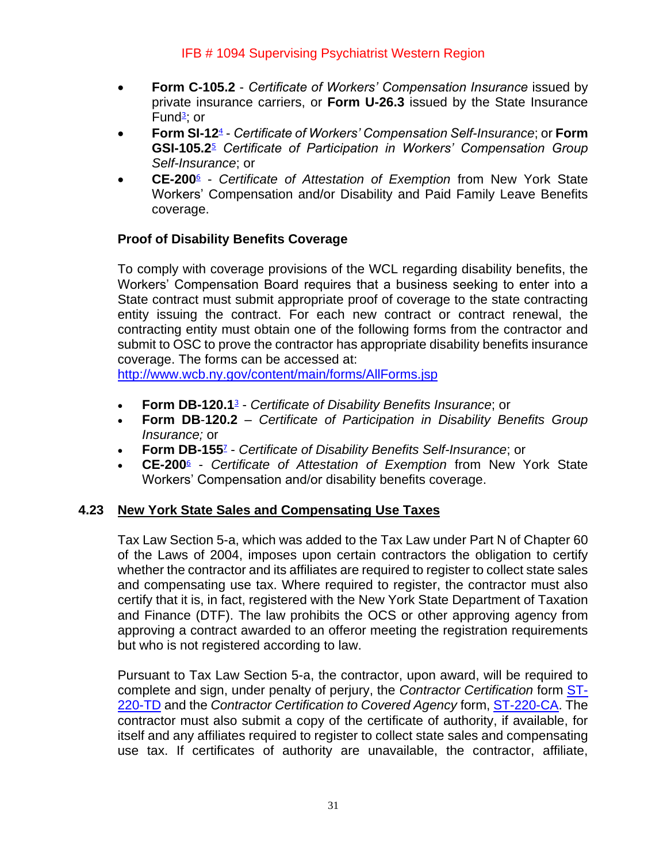- **Form C-105.2** *Certificate of Workers' Compensation Insurance* issued by private insurance carriers, or **Form U-26.3** issued by the State Insurance Fund<sup>[3](https://www.osc.state.ny.us/agencies/guide/MyWebHelp/Content/XI/18/G.htm#3)</sup>; or
- **Form SI-12**<sup>[4](https://www.osc.state.ny.us/agencies/guide/MyWebHelp/Content/XI/18/G.htm#4)</sup> *Certificate of Workers' Compensation Self-Insurance*; or **Form GSI-105.[2](https://www.osc.state.ny.us/agencies/guide/MyWebHelp/Content/XI/18/G.htm#5)**<sup>5</sup> *Certificate of Participation in Workers' Compensation Group Self-Insurance*; or
- **CE-200**[6](https://www.osc.state.ny.us/agencies/guide/MyWebHelp/Content/XI/18/G.htm#6) *Certificate of Attestation of Exemption* from New York State Workers' Compensation and/or Disability and Paid Family Leave Benefits coverage.

# **Proof of Disability Benefits Coverage**

To comply with coverage provisions of the WCL regarding disability benefits, the Workers' Compensation Board requires that a business seeking to enter into a State contract must submit appropriate proof of coverage to the state contracting entity issuing the contract. For each new contract or contract renewal, the contracting entity must obtain one of the following forms from the contractor and submit to OSC to prove the contractor has appropriate disability benefits insurance coverage. The forms can be accessed at:

<http://www.wcb.ny.gov/content/main/forms/AllForms.jsp>

- **Form DB-120.1**[3](https://www.osc.state.ny.us/agencies/guide/MyWebHelp/Content/XI/18/G.htm#3) *Certificate of Disability Benefits Insurance*; or
- **Form DB**-**120.2** *Certificate of Participation in Disability Benefits Group Insurance;* or
- **Form DB-15[5](https://www.osc.state.ny.us/agencies/guide/MyWebHelp/Content/XI/18/G.htm#7)**<sup>7</sup> *Certificate of Disability Benefits Self-Insurance*; or
- **CE-200**[6](https://www.osc.state.ny.us/agencies/guide/MyWebHelp/Content/XI/18/G.htm#6) *Certificate of Attestation of Exemption* from New York State Workers' Compensation and/or disability benefits coverage.

# <span id="page-30-0"></span>**4.23 New York State Sales and Compensating Use Taxes**

Tax Law Section 5-a, which was added to the Tax Law under Part N of Chapter 60 of the Laws of 2004, imposes upon certain contractors the obligation to certify whether the contractor and its affiliates are required to register to collect state sales and compensating use tax. Where required to register, the contractor must also certify that it is, in fact, registered with the New York State Department of Taxation and Finance (DTF). The law prohibits the OCS or other approving agency from approving a contract awarded to an offeror meeting the registration requirements but who is not registered according to law.

Pursuant to Tax Law Section 5-a, the contractor, upon award, will be required to complete and sign, under penalty of perjury, the *Contractor Certification* form [ST-](http://www.tax.ny.gov/pdf/current_forms/st/st220td_fill_in.pdf)[220-TD](http://www.tax.ny.gov/pdf/current_forms/st/st220td_fill_in.pdf) and the *Contractor Certification to Covered Agency* form, [ST-220-CA.](http://www.tax.ny.gov/pdf/current_forms/st/st220ca_fill_in.pdf) The contractor must also submit a copy of the certificate of authority, if available, for itself and any affiliates required to register to collect state sales and compensating use tax. If certificates of authority are unavailable, the contractor, affiliate,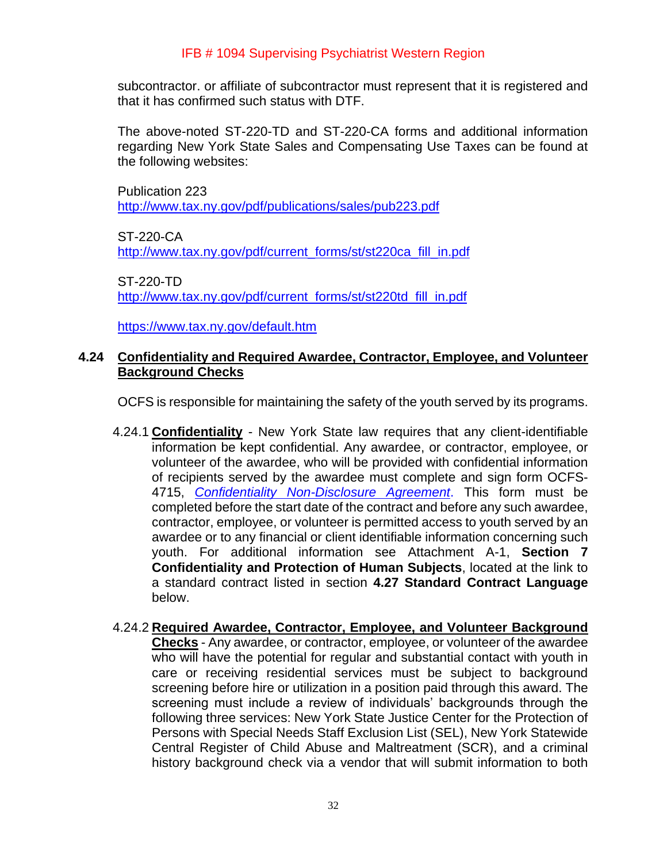subcontractor. or affiliate of subcontractor must represent that it is registered and that it has confirmed such status with DTF.

The above-noted ST-220-TD and ST-220-CA forms and additional information regarding New York State Sales and Compensating Use Taxes can be found at the following websites:

Publication 223 <http://www.tax.ny.gov/pdf/publications/sales/pub223.pdf>

ST-220-CA [http://www.tax.ny.gov/pdf/current\\_forms/st/st220ca\\_fill\\_in.pdf](http://www.tax.ny.gov/pdf/current_forms/st/st220ca_fill_in.pdf)

ST-220-TD [http://www.tax.ny.gov/pdf/current\\_forms/st/st220td\\_fill\\_in.pdf](http://www.tax.ny.gov/pdf/current_forms/st/st220td_fill_in.pdf)

<https://www.tax.ny.gov/default.htm>

## <span id="page-31-0"></span>**4.24 Confidentiality and Required Awardee, Contractor, Employee, and Volunteer Background Checks**

OCFS is responsible for maintaining the safety of the youth served by its programs.

- 4.24.1 **Confidentiality** New York State law requires that any client-identifiable information be kept confidential. Any awardee, or contractor, employee, or volunteer of the awardee, who will be provided with confidential information of recipients served by the awardee must complete and sign form OCFS-4715, *[Confidentiality Non-Disclosure Agreement](https://ocfs.ny.gov/forms/ocfs/OCFS-4715.pdf)*. This form must be completed before the start date of the contract and before any such awardee, contractor, employee, or volunteer is permitted access to youth served by an awardee or to any financial or client identifiable information concerning such youth. For additional information see Attachment A-1, **Section 7 Confidentiality and Protection of Human Subjects**, located at the link to a standard contract listed in section **4.27 Standard Contract Language** below.
- 4.24.2 **Required Awardee, Contractor, Employee, and Volunteer Background Checks** - Any awardee, or contractor, employee, or volunteer of the awardee who will have the potential for regular and substantial contact with youth in care or receiving residential services must be subject to background screening before hire or utilization in a position paid through this award. The screening must include a review of individuals' backgrounds through the following three services: New York State Justice Center for the Protection of Persons with Special Needs Staff Exclusion List (SEL), New York Statewide Central Register of Child Abuse and Maltreatment (SCR), and a criminal history background check via a vendor that will submit information to both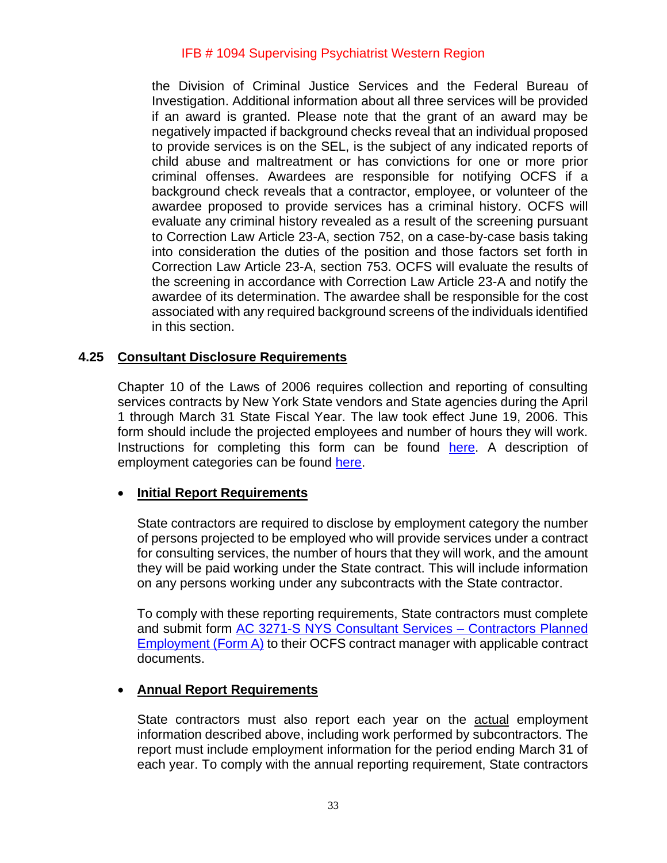the Division of Criminal Justice Services and the Federal Bureau of Investigation. Additional information about all three services will be provided if an award is granted. Please note that the grant of an award may be negatively impacted if background checks reveal that an individual proposed to provide services is on the SEL, is the subject of any indicated reports of child abuse and maltreatment or has convictions for one or more prior criminal offenses. Awardees are responsible for notifying OCFS if a background check reveals that a contractor, employee, or volunteer of the awardee proposed to provide services has a criminal history. OCFS will evaluate any criminal history revealed as a result of the screening pursuant to Correction Law Article 23-A, section 752, on a case-by-case basis taking into consideration the duties of the position and those factors set forth in Correction Law Article 23-A, section 753. OCFS will evaluate the results of the screening in accordance with Correction Law Article 23-A and notify the awardee of its determination. The awardee shall be responsible for the cost associated with any required background screens of the individuals identified in this section.

#### <span id="page-32-0"></span>**4.25 Consultant Disclosure Requirements**

Chapter 10 of the Laws of 2006 requires collection and reporting of consulting services contracts by New York State vendors and State agencies during the April 1 through March 31 State Fiscal Year. The law took effect June 19, 2006. This form should include the projected employees and number of hours they will work. Instructions for completing this form can be found [here.](https://ocfs.ny.gov/forms/ocfs/OCFS-3271.pdf) A description of employment categories can be found [here.](https://www.onetonline.org/)

#### • **Initial Report Requirements**

State contractors are required to disclose by employment category the number of persons projected to be employed who will provide services under a contract for consulting services, the number of hours that they will work, and the amount they will be paid working under the State contract. This will include information on any persons working under any subcontracts with the State contractor.

To comply with these reporting requirements, State contractors must complete and submit form [AC 3271-S NYS Consultant Services –](http://www.osc.state.ny.us/agencies/forms/ac3271s.doc) Contractors Planned [Employment \(Form A\)](http://www.osc.state.ny.us/agencies/forms/ac3271s.doc) to their OCFS contract manager with applicable contract documents.

#### • **Annual Report Requirements**

State contractors must also report each year on the **actual employment** information described above, including work performed by subcontractors. The report must include employment information for the period ending March 31 of each year. To comply with the annual reporting requirement, State contractors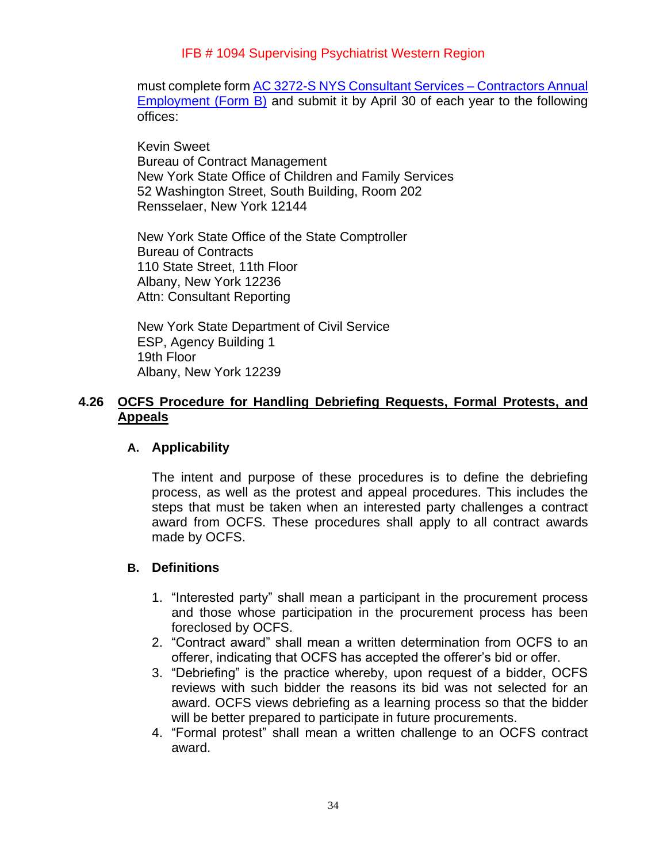must complete form [AC 3272-S NYS Consultant Services –](http://www.osc.state.ny.us/agencies/forms/ac3272s.doc) Contractors Annual [Employment \(Form B\)](http://www.osc.state.ny.us/agencies/forms/ac3272s.doc) and submit it by April 30 of each year to the following offices:

Kevin Sweet Bureau of Contract Management New York State Office of Children and Family Services 52 Washington Street, South Building, Room 202 Rensselaer, New York 12144

New York State Office of the State Comptroller Bureau of Contracts 110 State Street, 11th Floor Albany, New York 12236 Attn: Consultant Reporting

New York State Department of Civil Service ESP, Agency Building 1 19th Floor Albany, New York 12239

# <span id="page-33-0"></span>**4.26 OCFS Procedure for Handling Debriefing Requests, Formal Protests, and Appeals**

#### **A. Applicability**

The intent and purpose of these procedures is to define the debriefing process, as well as the protest and appeal procedures. This includes the steps that must be taken when an interested party challenges a contract award from OCFS. These procedures shall apply to all contract awards made by OCFS.

#### **B. Definitions**

- 1. "Interested party" shall mean a participant in the procurement process and those whose participation in the procurement process has been foreclosed by OCFS.
- 2. "Contract award" shall mean a written determination from OCFS to an offerer, indicating that OCFS has accepted the offerer's bid or offer.
- 3. "Debriefing" is the practice whereby, upon request of a bidder, OCFS reviews with such bidder the reasons its bid was not selected for an award. OCFS views debriefing as a learning process so that the bidder will be better prepared to participate in future procurements.
- 4. "Formal protest" shall mean a written challenge to an OCFS contract award.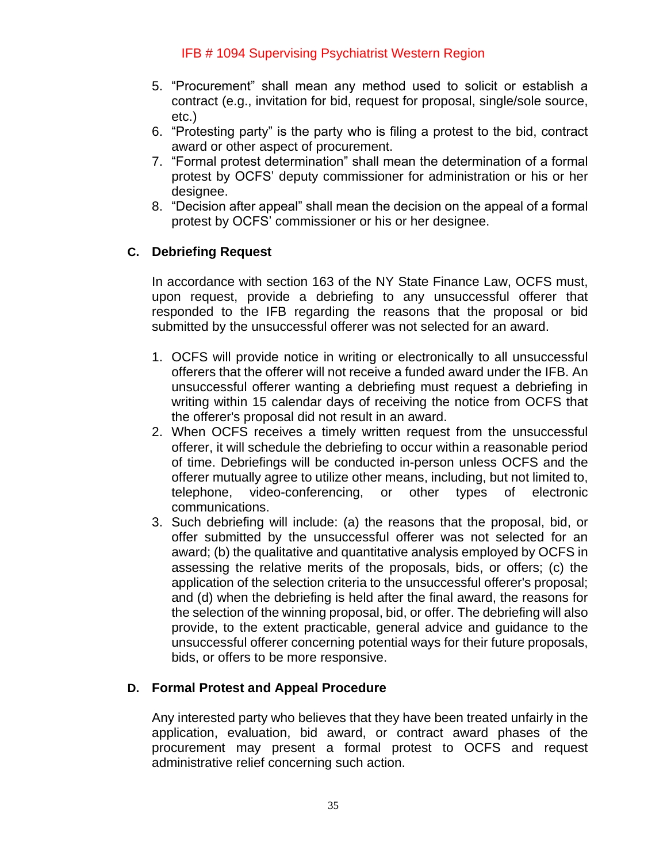- 5. "Procurement" shall mean any method used to solicit or establish a contract (e.g., invitation for bid, request for proposal, single/sole source, etc.)
- 6. "Protesting party" is the party who is filing a protest to the bid, contract award or other aspect of procurement.
- 7. "Formal protest determination" shall mean the determination of a formal protest by OCFS' deputy commissioner for administration or his or her designee.
- 8. "Decision after appeal" shall mean the decision on the appeal of a formal protest by OCFS' commissioner or his or her designee.

# **C. Debriefing Request**

In accordance with section 163 of the NY State Finance Law, OCFS must, upon request, provide a debriefing to any unsuccessful offerer that responded to the IFB regarding the reasons that the proposal or bid submitted by the unsuccessful offerer was not selected for an award.

- 1. OCFS will provide notice in writing or electronically to all unsuccessful offerers that the offerer will not receive a funded award under the IFB. An unsuccessful offerer wanting a debriefing must request a debriefing in writing within 15 calendar days of receiving the notice from OCFS that the offerer's proposal did not result in an award.
- 2. When OCFS receives a timely written request from the unsuccessful offerer, it will schedule the debriefing to occur within a reasonable period of time. Debriefings will be conducted in-person unless OCFS and the offerer mutually agree to utilize other means, including, but not limited to, telephone, video-conferencing, or other types of electronic communications.
- 3. Such debriefing will include: (a) the reasons that the proposal, bid, or offer submitted by the unsuccessful offerer was not selected for an award; (b) the qualitative and quantitative analysis employed by OCFS in assessing the relative merits of the proposals, bids, or offers; (c) the application of the selection criteria to the unsuccessful offerer's proposal; and (d) when the debriefing is held after the final award, the reasons for the selection of the winning proposal, bid, or offer. The debriefing will also provide, to the extent practicable, general advice and guidance to the unsuccessful offerer concerning potential ways for their future proposals, bids, or offers to be more responsive.

# **D. Formal Protest and Appeal Procedure**

Any interested party who believes that they have been treated unfairly in the application, evaluation, bid award, or contract award phases of the procurement may present a formal protest to OCFS and request administrative relief concerning such action.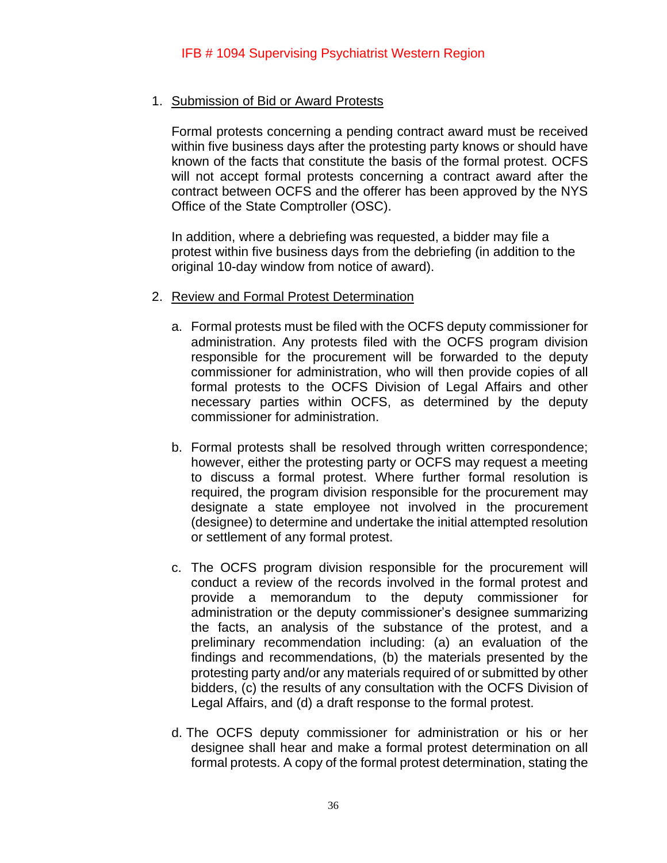#### 1. Submission of Bid or Award Protests

Formal protests concerning a pending contract award must be received within five business days after the protesting party knows or should have known of the facts that constitute the basis of the formal protest. OCFS will not accept formal protests concerning a contract award after the contract between OCFS and the offerer has been approved by the NYS Office of the State Comptroller (OSC).

In addition, where a debriefing was requested, a bidder may file a protest within five business days from the debriefing (in addition to the original 10-day window from notice of award).

- 2. Review and Formal Protest Determination
	- a. Formal protests must be filed with the OCFS deputy commissioner for administration. Any protests filed with the OCFS program division responsible for the procurement will be forwarded to the deputy commissioner for administration, who will then provide copies of all formal protests to the OCFS Division of Legal Affairs and other necessary parties within OCFS, as determined by the deputy commissioner for administration.
	- b. Formal protests shall be resolved through written correspondence; however, either the protesting party or OCFS may request a meeting to discuss a formal protest. Where further formal resolution is required, the program division responsible for the procurement may designate a state employee not involved in the procurement (designee) to determine and undertake the initial attempted resolution or settlement of any formal protest.
	- c. The OCFS program division responsible for the procurement will conduct a review of the records involved in the formal protest and provide a memorandum to the deputy commissioner for administration or the deputy commissioner's designee summarizing the facts, an analysis of the substance of the protest, and a preliminary recommendation including: (a) an evaluation of the findings and recommendations, (b) the materials presented by the protesting party and/or any materials required of or submitted by other bidders, (c) the results of any consultation with the OCFS Division of Legal Affairs, and (d) a draft response to the formal protest.
	- d. The OCFS deputy commissioner for administration or his or her designee shall hear and make a formal protest determination on all formal protests. A copy of the formal protest determination, stating the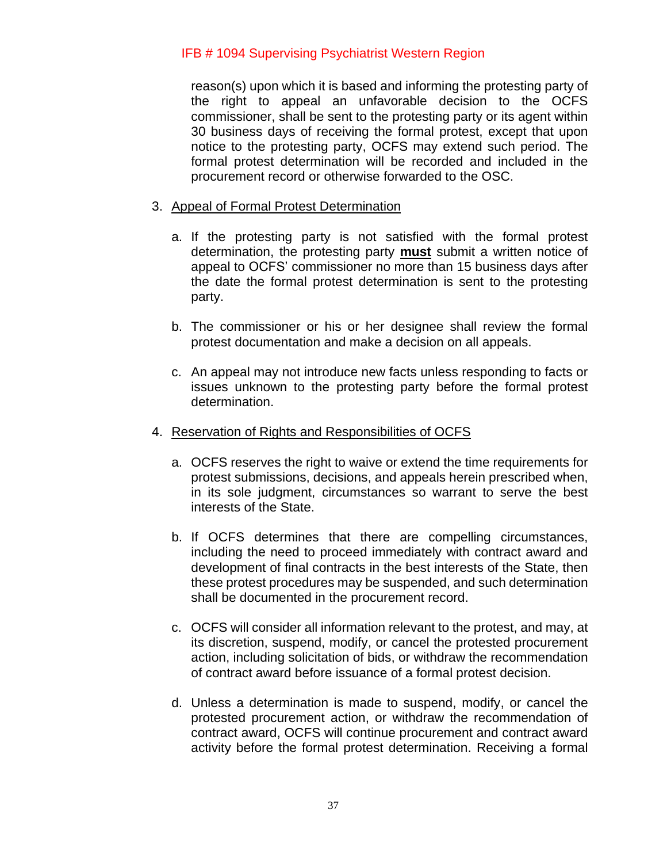reason(s) upon which it is based and informing the protesting party of the right to appeal an unfavorable decision to the OCFS commissioner, shall be sent to the protesting party or its agent within 30 business days of receiving the formal protest, except that upon notice to the protesting party, OCFS may extend such period. The formal protest determination will be recorded and included in the procurement record or otherwise forwarded to the OSC.

## 3. Appeal of Formal Protest Determination

- a. If the protesting party is not satisfied with the formal protest determination, the protesting party **must** submit a written notice of appeal to OCFS' commissioner no more than 15 business days after the date the formal protest determination is sent to the protesting party.
- b. The commissioner or his or her designee shall review the formal protest documentation and make a decision on all appeals.
- c. An appeal may not introduce new facts unless responding to facts or issues unknown to the protesting party before the formal protest determination.

#### 4. Reservation of Rights and Responsibilities of OCFS

- a. OCFS reserves the right to waive or extend the time requirements for protest submissions, decisions, and appeals herein prescribed when, in its sole judgment, circumstances so warrant to serve the best interests of the State.
- b. If OCFS determines that there are compelling circumstances, including the need to proceed immediately with contract award and development of final contracts in the best interests of the State, then these protest procedures may be suspended, and such determination shall be documented in the procurement record.
- c. OCFS will consider all information relevant to the protest, and may, at its discretion, suspend, modify, or cancel the protested procurement action, including solicitation of bids, or withdraw the recommendation of contract award before issuance of a formal protest decision.
- d. Unless a determination is made to suspend, modify, or cancel the protested procurement action, or withdraw the recommendation of contract award, OCFS will continue procurement and contract award activity before the formal protest determination. Receiving a formal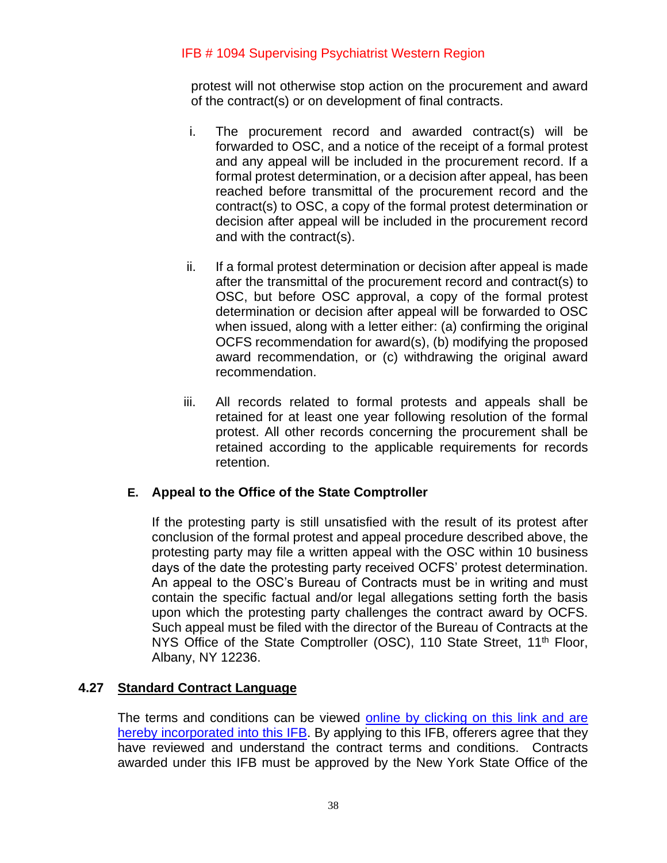protest will not otherwise stop action on the procurement and award of the contract(s) or on development of final contracts.

- i. The procurement record and awarded contract(s) will be forwarded to OSC, and a notice of the receipt of a formal protest and any appeal will be included in the procurement record. If a formal protest determination, or a decision after appeal, has been reached before transmittal of the procurement record and the contract(s) to OSC, a copy of the formal protest determination or decision after appeal will be included in the procurement record and with the contract(s).
- ii. If a formal protest determination or decision after appeal is made after the transmittal of the procurement record and contract(s) to OSC, but before OSC approval, a copy of the formal protest determination or decision after appeal will be forwarded to OSC when issued, along with a letter either: (a) confirming the original OCFS recommendation for award(s), (b) modifying the proposed award recommendation, or (c) withdrawing the original award recommendation.
- iii. All records related to formal protests and appeals shall be retained for at least one year following resolution of the formal protest. All other records concerning the procurement shall be retained according to the applicable requirements for records retention.

# **E. Appeal to the Office of the State Comptroller**

If the protesting party is still unsatisfied with the result of its protest after conclusion of the formal protest and appeal procedure described above, the protesting party may file a written appeal with the OSC within 10 business days of the date the protesting party received OCFS' protest determination. An appeal to the OSC's Bureau of Contracts must be in writing and must contain the specific factual and/or legal allegations setting forth the basis upon which the protesting party challenges the contract award by OCFS. Such appeal must be filed with the director of the Bureau of Contracts at the NYS Office of the State Comptroller (OSC), 110 State Street, 11<sup>th</sup> Floor, Albany, NY 12236.

# <span id="page-37-0"></span>**4.27 Standard Contract Language**

The terms and conditions can be viewed online by clicking on this link and are [hereby incorporated into this IFB.](https://ocfs.ny.gov/main/contracts/docs/Non-Grant-Contract-Template.pdf) By applying to this IFB, offerers agree that they have reviewed and understand the contract terms and conditions. Contracts awarded under this IFB must be approved by the New York State Office of the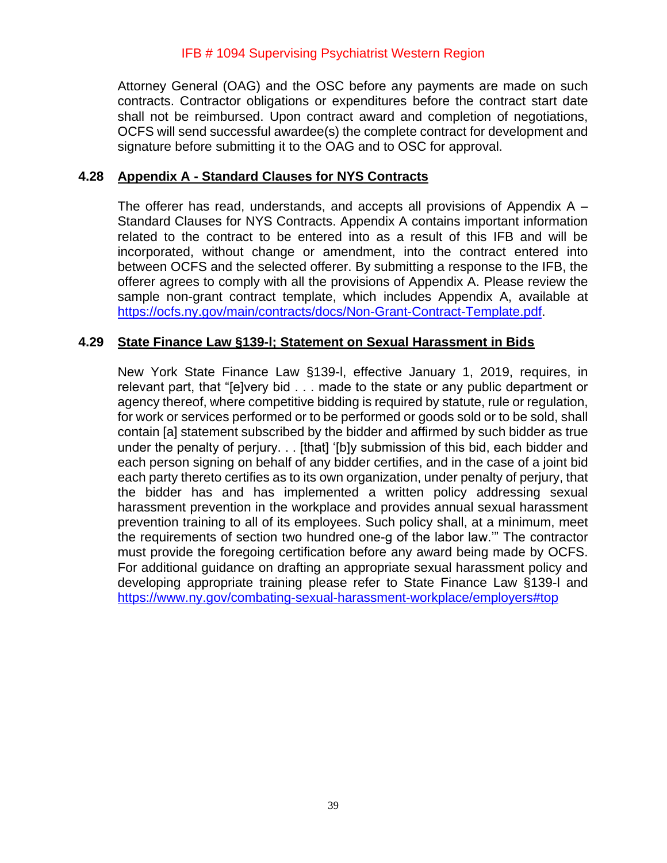Attorney General (OAG) and the OSC before any payments are made on such contracts. Contractor obligations or expenditures before the contract start date shall not be reimbursed. Upon contract award and completion of negotiations, OCFS will send successful awardee(s) the complete contract for development and signature before submitting it to the OAG and to OSC for approval.

#### <span id="page-38-0"></span>**4.28 Appendix A - Standard Clauses for NYS Contracts**

The offerer has read, understands, and accepts all provisions of Appendix A – Standard Clauses for NYS Contracts. Appendix A contains important information related to the contract to be entered into as a result of this IFB and will be incorporated, without change or amendment, into the contract entered into between OCFS and the selected offerer. By submitting a response to the IFB, the offerer agrees to comply with all the provisions of Appendix A. Please review the sample non-grant contract template, which includes Appendix A, available at [https://ocfs.ny.gov/main/contracts/docs/Non-Grant-Contract-Template.pdf.](https://ocfs.ny.gov/main/contracts/docs/Non-Grant-Contract-Template.pdf)

#### <span id="page-38-1"></span>**4.29 State Finance Law §139-l; Statement on Sexual Harassment in Bids**

New York State Finance Law §139-l, effective January 1, 2019, requires, in relevant part, that "[e]very bid . . . made to the state or any public department or agency thereof, where competitive bidding is required by statute, rule or regulation, for work or services performed or to be performed or goods sold or to be sold, shall contain [a] statement subscribed by the bidder and affirmed by such bidder as true under the penalty of perjury. . . [that] '[b]y submission of this bid, each bidder and each person signing on behalf of any bidder certifies, and in the case of a joint bid each party thereto certifies as to its own organization, under penalty of perjury, that the bidder has and has implemented a written policy addressing sexual harassment prevention in the workplace and provides annual sexual harassment prevention training to all of its employees. Such policy shall, at a minimum, meet the requirements of section two hundred one-g of the labor law.'" The contractor must provide the foregoing certification before any award being made by OCFS. For additional guidance on drafting an appropriate sexual harassment policy and developing appropriate training please refer to State Finance Law §139-l and <https://www.ny.gov/combating-sexual-harassment-workplace/employers#top>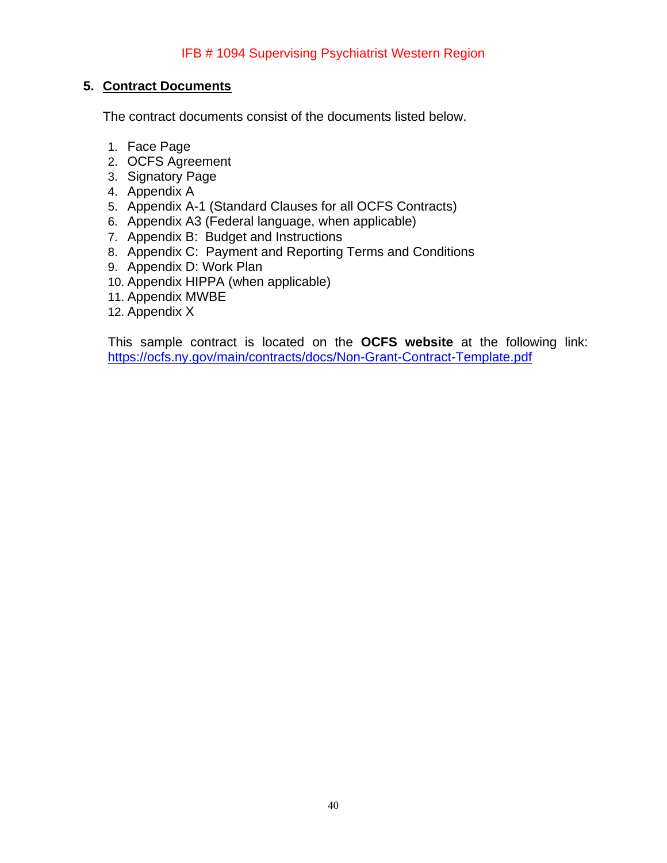# <span id="page-39-0"></span>**5. Contract Documents**

The contract documents consist of the documents listed below.

- 1. Face Page
- 2. OCFS Agreement
- 3. Signatory Page
- 4. Appendix A
- 5. Appendix A-1 (Standard Clauses for all OCFS Contracts)
- 6. Appendix A3 (Federal language, when applicable)
- 7. Appendix B: Budget and Instructions
- 8. Appendix C: Payment and Reporting Terms and Conditions
- 9. Appendix D: Work Plan
- 10. Appendix HIPPA (when applicable)
- 11. Appendix MWBE
- 12. Appendix X

This sample contract is located on the **OCFS website** at the following link: <https://ocfs.ny.gov/main/contracts/docs/Non-Grant-Contract-Template.pdf>